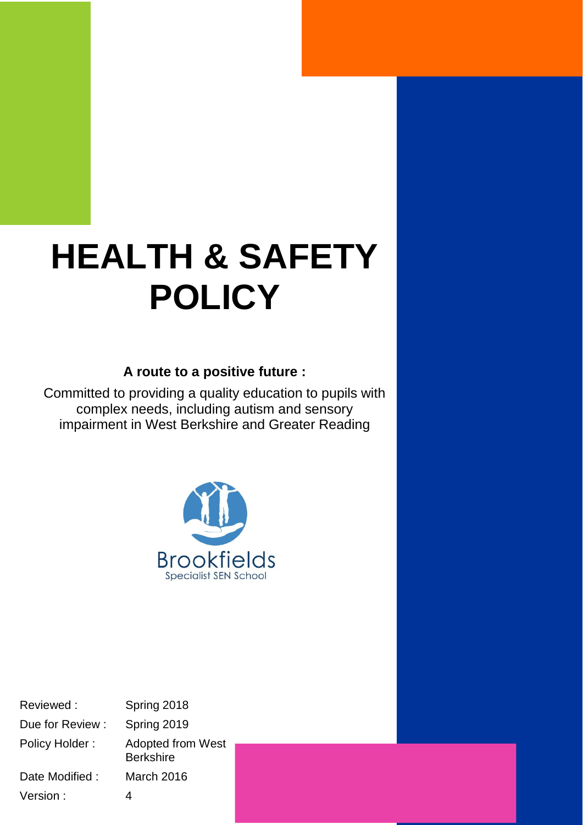# **HEALTH & SAFETY POLICY**

## **A route to a positive future :**

Committed to providing a quality education to pupils with complex needs, including autism and sensory impairment in West Berkshire and Greater Reading



Reviewed : Spring 2018 Due for Review : Spring 2019 Policy Holder : Adopted from West **Berkshire** Date Modified : March 2016 Version : 4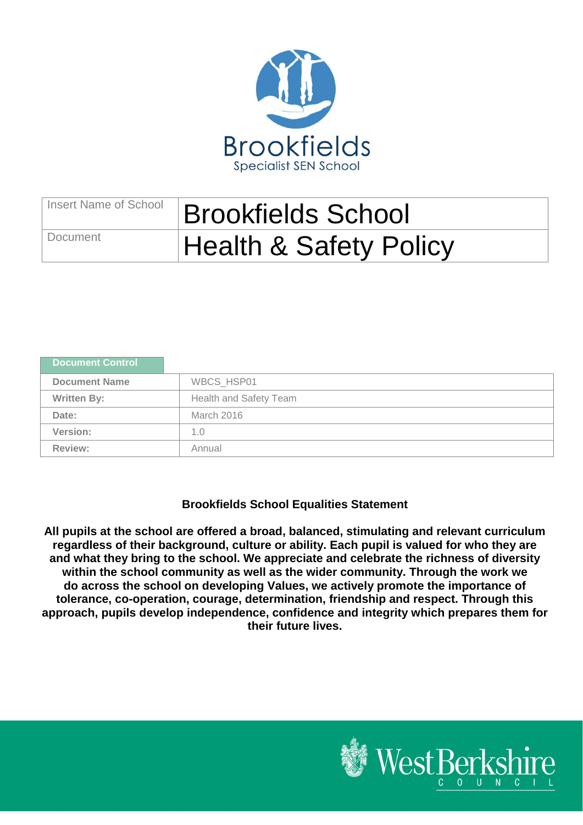

## Insert Name of School **Brookfields School** Document | Health & Safety Policy

| Document Control     |                               |
|----------------------|-------------------------------|
| <b>Document Name</b> | <b>WBCS HSP01</b>             |
| <b>Written By:</b>   | <b>Health and Safety Team</b> |
| Date:                | March 2016                    |
| Version:             | 1.0                           |
| <b>Review:</b>       | Annual                        |

## **Brookfields School Equalities Statement**

**All pupils at the school are offered a broad, balanced, stimulating and relevant curriculum regardless of their background, culture or ability. Each pupil is valued for who they are and what they bring to the school. We appreciate and celebrate the richness of diversity within the school community as well as the wider community. Through the work we do across the school on developing Values, we actively promote the importance of tolerance, co-operation, courage, determination, friendship and respect. Through this approach, pupils develop independence, confidence and integrity which prepares them for their future lives.**

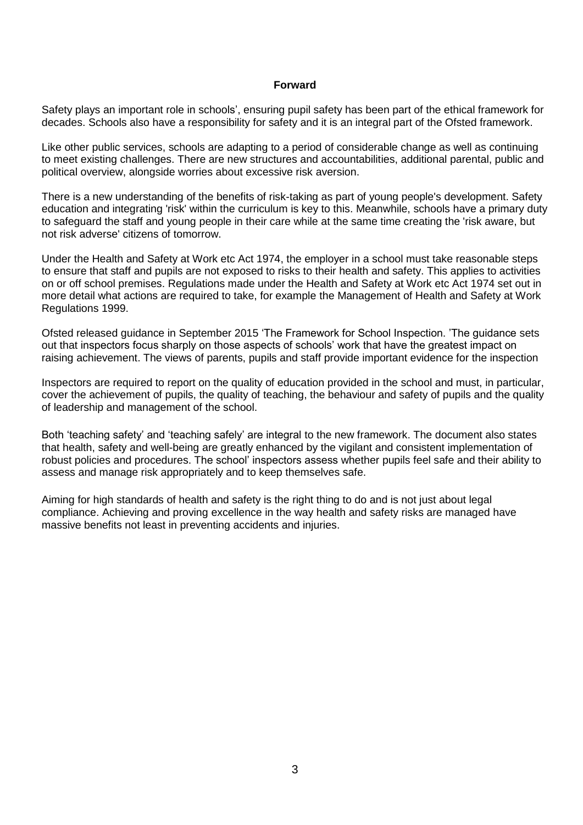#### **Forward**

Safety plays an important role in schools', ensuring pupil safety has been part of the ethical framework for decades. Schools also have a responsibility for safety and it is an integral part of the Ofsted framework.

Like other public services, schools are adapting to a period of considerable change as well as continuing to meet existing challenges. There are new structures and accountabilities, additional parental, public and political overview, alongside worries about excessive risk aversion.

There is a new understanding of the benefits of risk-taking as part of young people's development. Safety education and integrating 'risk' within the curriculum is key to this. Meanwhile, schools have a primary duty to safeguard the staff and young people in their care while at the same time creating the 'risk aware, but not risk adverse' citizens of tomorrow.

Under the [Health and Safety at Work etc Act 1974,](http://www.legislation.gov.uk/ukpga/1974/37) the employer in a school must take reasonable steps to ensure that staff and pupils are not exposed to risks to their health and safety. This applies to activities on or off school premises. Regulations made under the Health and Safety at Work etc Act 1974 set out in more detail what actions are required to take, for example the [Management of Health and Safety at Work](http://www.legislation.gov.uk/uksi/1999/3242/contents/made)  [Regulations 1999.](http://www.legislation.gov.uk/uksi/1999/3242/contents/made)

Ofsted released guidance in September 2015 'The Framework for School Inspection. 'The guidance sets out that inspectors focus sharply on those aspects of schools' work that have the greatest impact on raising achievement. The views of parents, pupils and staff provide important evidence for the inspection

Inspectors are required to report on the quality of education provided in the school and must, in particular, cover the achievement of pupils, the quality of teaching, the behaviour and safety of pupils and the quality of leadership and management of the school.

Both 'teaching safety' and 'teaching safely' are integral to the new framework. The document also states that health, safety and well-being are greatly enhanced by the vigilant and consistent implementation of robust policies and procedures. The school' inspectors assess whether pupils feel safe and their ability to assess and manage risk appropriately and to keep themselves safe.

Aiming for high standards of health and safety is the right thing to do and is not just about legal compliance. Achieving and proving excellence in the way health and safety risks are managed have massive benefits not least in preventing accidents and injuries.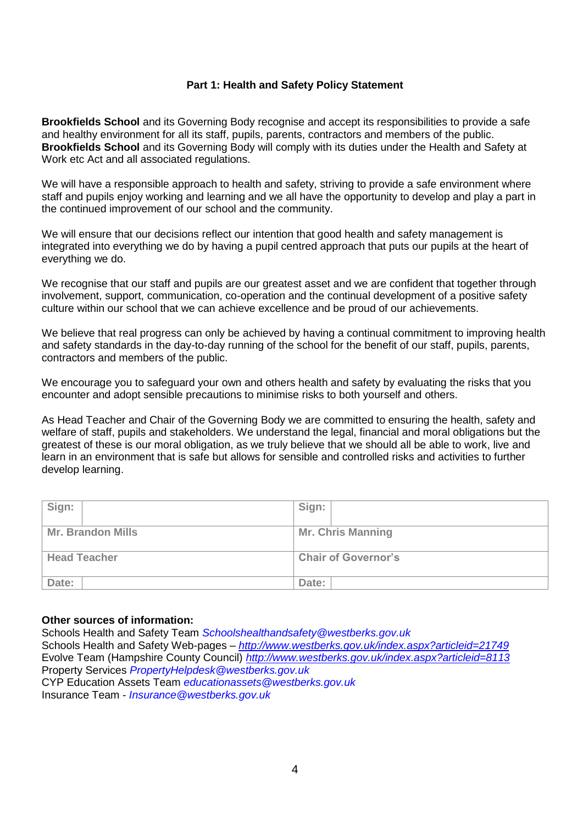#### **Part 1: Health and Safety Policy Statement**

**Brookfields School** and its Governing Body recognise and accept its responsibilities to provide a safe and healthy environment for all its staff, pupils, parents, contractors and members of the public. **Brookfields School** and its Governing Body will comply with its duties under the Health and Safety at Work etc Act and all associated regulations.

We will have a responsible approach to health and safety, striving to provide a safe environment where staff and pupils enjoy working and learning and we all have the opportunity to develop and play a part in the continued improvement of our school and the community.

We will ensure that our decisions reflect our intention that good health and safety management is integrated into everything we do by having a pupil centred approach that puts our pupils at the heart of everything we do.

We recognise that our staff and pupils are our greatest asset and we are confident that together through involvement, support, communication, co-operation and the continual development of a positive safety culture within our school that we can achieve excellence and be proud of our achievements.

We believe that real progress can only be achieved by having a continual commitment to improving health and safety standards in the day-to-day running of the school for the benefit of our staff, pupils, parents, contractors and members of the public.

We encourage you to safeguard your own and others health and safety by evaluating the risks that you encounter and adopt sensible precautions to minimise risks to both yourself and others.

As Head Teacher and Chair of the Governing Body we are committed to ensuring the health, safety and welfare of staff, pupils and stakeholders. We understand the legal, financial and moral obligations but the greatest of these is our moral obligation, as we truly believe that we should all be able to work, live and learn in an environment that is safe but allows for sensible and controlled risks and activities to further develop learning.

| Sign:                    | Sign:                      |  |
|--------------------------|----------------------------|--|
| <b>Mr. Brandon Mills</b> | <b>Mr. Chris Manning</b>   |  |
| <b>Head Teacher</b>      | <b>Chair of Governor's</b> |  |
| Date:                    | Date:                      |  |

#### **Other sources of information:**

Schools Health and Safety Team *Schoolshealthandsafety@westberks.gov.uk* Schools Health and Safety Web-pages – *http://www.westberks.gov.uk/index.aspx?articleid=21749* Evolve Team (Hampshire County Council) *http://www.westberks.gov.uk/index.aspx?articleid=8113* Property Services *PropertyHelpdesk@westberks.gov.uk* CYP Education Assets Team *educationassets@westberks.gov.uk* Insurance Team *- Insurance@westberks.gov.uk*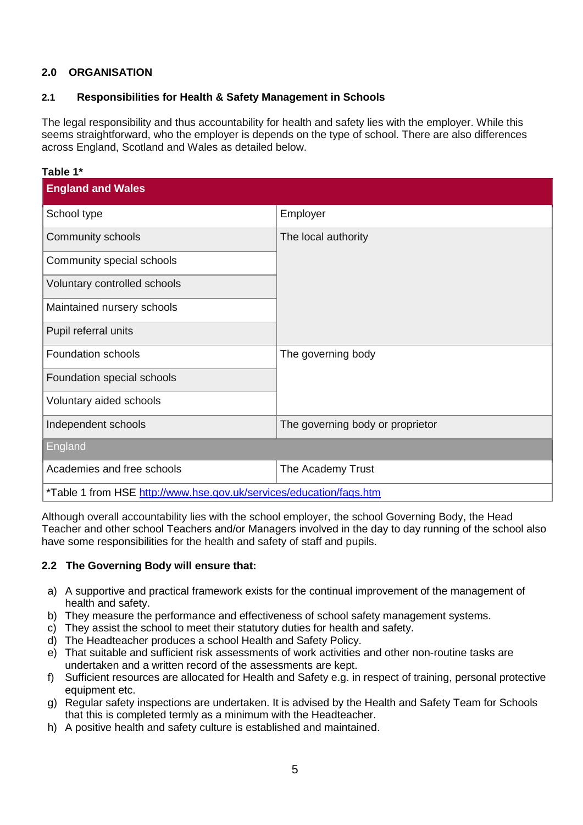## **2.0 ORGANISATION**

## **2.1 Responsibilities for Health & Safety Management in Schools**

The legal responsibility and thus accountability for health and safety lies with the employer. While this seems straightforward, who the employer is depends on the type of school. There are also differences across England, Scotland and Wales as detailed below.

| Table 1*                                                            |                                  |
|---------------------------------------------------------------------|----------------------------------|
| <b>England and Wales</b>                                            |                                  |
| School type                                                         | Employer                         |
| Community schools                                                   | The local authority              |
| Community special schools                                           |                                  |
| Voluntary controlled schools                                        |                                  |
| Maintained nursery schools                                          |                                  |
| Pupil referral units                                                |                                  |
| <b>Foundation schools</b>                                           | The governing body               |
| Foundation special schools                                          |                                  |
| Voluntary aided schools                                             |                                  |
| Independent schools                                                 | The governing body or proprietor |
| England                                                             |                                  |
| Academies and free schools                                          | The Academy Trust                |
| *Table 1 from HSE http://www.hse.gov.uk/services/education/fags.htm |                                  |

Although overall accountability lies with the school employer, the school Governing Body, the Head Teacher and [other school Teachers and/or Managers involved in the day to day running of the school also](http://www.hse.gov.uk/services/education/sensible-leadership/school-leaders.htm)  [have some responsibilities](http://www.hse.gov.uk/services/education/sensible-leadership/school-leaders.htm) for the health and safety of staff and pupils.

## **2.2 The Governing Body will ensure that:**

- a) A supportive and practical framework exists for the continual improvement of the management of health and safety.
- b) They measure the performance and effectiveness of school safety management systems.
- c) They assist the school to meet their statutory duties for health and safety.
- d) The Headteacher produces a school Health and Safety Policy.
- e) That suitable and sufficient risk assessments of work activities and other non-routine tasks are undertaken and a written record of the assessments are kept.
- f) Sufficient resources are allocated for Health and Safety e.g. in respect of training, personal protective equipment etc.
- g) Regular safety inspections are undertaken. It is advised by the Health and Safety Team for Schools that this is completed termly as a minimum with the Headteacher.
- h) A positive health and safety culture is established and maintained.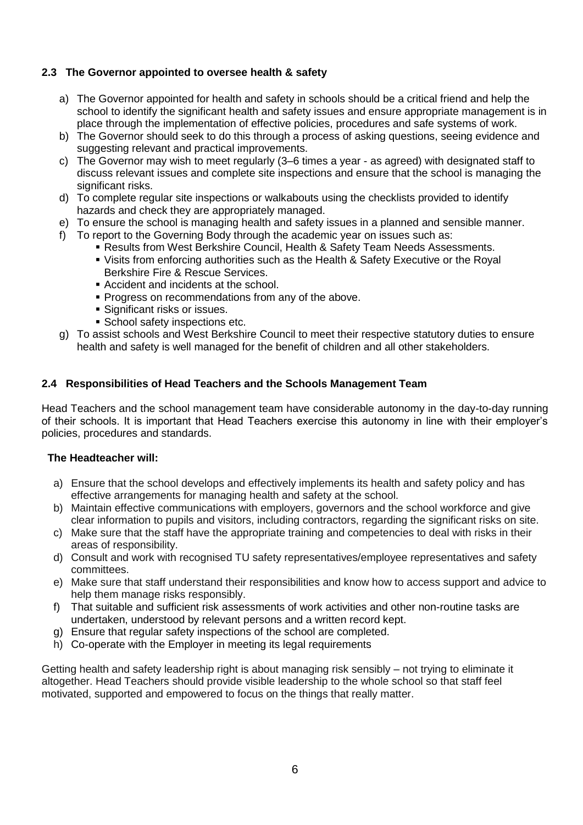## **2.3 The Governor appointed to oversee health & safety**

- a) The Governor appointed for health and safety in schools should be a critical friend and help the school to identify the significant health and safety issues and ensure appropriate management is in place through the implementation of effective policies, procedures and safe systems of work.
- b) The Governor should seek to do this through a process of asking questions, seeing evidence and suggesting relevant and practical improvements.
- c) The Governor may wish to meet regularly (3–6 times a year as agreed) with designated staff to discuss relevant issues and complete site inspections and ensure that the school is managing the significant risks.
- d) To complete regular site inspections or walkabouts using the checklists provided to identify hazards and check they are appropriately managed.
- e) To ensure the school is managing health and safety issues in a planned and sensible manner.
- f) To report to the Governing Body through the academic year on issues such as:
	- Results from West Berkshire Council, Health & Safety Team Needs Assessments.
	- Visits from enforcing authorities such as the Health & Safety Executive or the Royal Berkshire Fire & Rescue Services.
	- Accident and incidents at the school.
	- **Progress on recommendations from any of the above.**
	- **Significant risks or issues.**
	- **School safety inspections etc.**
- g) To assist schools and West Berkshire Council to meet their respective statutory duties to ensure health and safety is well managed for the benefit of children and all other stakeholders.

#### **2.4 Responsibilities of Head Teachers and the Schools Management Team**

Head Teachers and the school management team have considerable autonomy in the day-to-day running of their schools. It is important that Head Teachers exercise this autonomy in line with their employer's policies, procedures and standards.

#### **The Headteacher will:**

- a) Ensure that the school develops and effectively implements its health and safety policy and has effective arrangements for managing health and safety at the school.
- b) Maintain effective communications with employers, governors and the school workforce and give clear information to pupils and visitors, including contractors, regarding the significant risks on site.
- c) Make sure that the staff have the appropriate training and competencies to deal with risks in their areas of responsibility.
- d) Consult and work with recognised TU safety representatives/employee representatives and safety committees.
- e) Make sure that staff understand their responsibilities and know how to access support and advice to help them manage risks responsibly.
- f) That suitable and sufficient risk assessments of work activities and other non-routine tasks are undertaken, understood by relevant persons and a written record kept.
- g) Ensure that regular safety inspections of the school are completed.
- h) Co-operate with the Employer in meeting its legal requirements

Getting health and safety leadership right is about managing risk sensibly – not trying to eliminate it altogether. Head Teachers should provide visible leadership to the whole school so that staff feel motivated, supported and empowered to focus on the things that really matter.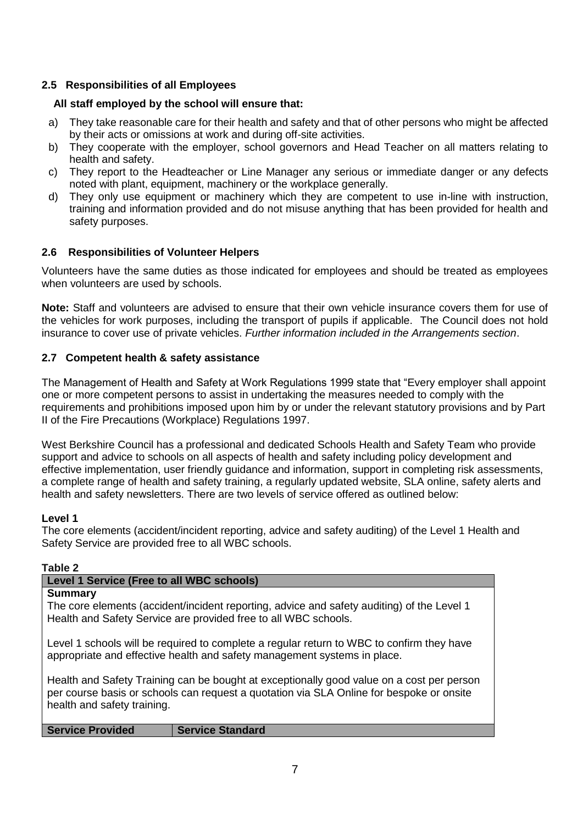## **2.5 Responsibilities of all Employees**

## **All staff employed by the school will ensure that:**

- a) They take reasonable care for their health and safety and that of other persons who might be affected by their acts or omissions at work and during off-site activities.
- b) They cooperate with the employer, school governors and Head Teacher on all matters relating to health and safety.
- c) They report to the Headteacher or Line Manager any serious or immediate danger or any defects noted with plant, equipment, machinery or the workplace generally.
- d) They only use equipment or machinery which they are competent to use in-line with instruction, training and information provided and do not misuse anything that has been provided for health and safety purposes.

## **2.6 Responsibilities of Volunteer Helpers**

Volunteers have the same duties as those indicated for employees and should be treated as employees when volunteers are used by schools.

**Note:** Staff and volunteers are advised to ensure that their own vehicle insurance covers them for use of the vehicles for work purposes, including the transport of pupils if applicable. The Council does not hold insurance to cover use of private vehicles. *Further information included in the Arrangements section*.

## **2.7 Competent health & safety assistance**

The Management of Health and Safety at Work Regulations 1999 state that "Every employer shall appoint one or more competent persons to assist in undertaking the measures needed to comply with the requirements and prohibitions imposed upon him by or under the relevant statutory provisions and by Part II of the Fire Precautions (Workplace) Regulations 1997.

West Berkshire Council has a professional and dedicated Schools Health and Safety Team who provide support and advice to schools on all aspects of health and safety including policy development and effective implementation, user friendly guidance and information, support in completing risk assessments, a complete range of health and safety training, a regularly updated website, SLA online, safety alerts and health and safety newsletters. There are two levels of service offered as outlined below:

## **Level 1**

The core elements (accident/incident reporting, advice and safety auditing) of the Level 1 Health and Safety Service are provided free to all WBC schools.

#### **Table 2**

| Level 1 Service (Free to all WBC schools)                                                                                                                                                                            |                         |  |
|----------------------------------------------------------------------------------------------------------------------------------------------------------------------------------------------------------------------|-------------------------|--|
| <b>Summary</b><br>The core elements (accident/incident reporting, advice and safety auditing) of the Level 1<br>Health and Safety Service are provided free to all WBC schools.                                      |                         |  |
| Level 1 schools will be required to complete a regular return to WBC to confirm they have<br>appropriate and effective health and safety management systems in place.                                                |                         |  |
| Health and Safety Training can be bought at exceptionally good value on a cost per person<br>per course basis or schools can request a quotation via SLA Online for bespoke or onsite<br>health and safety training. |                         |  |
| <b>Service Provided</b>                                                                                                                                                                                              | <b>Service Standard</b> |  |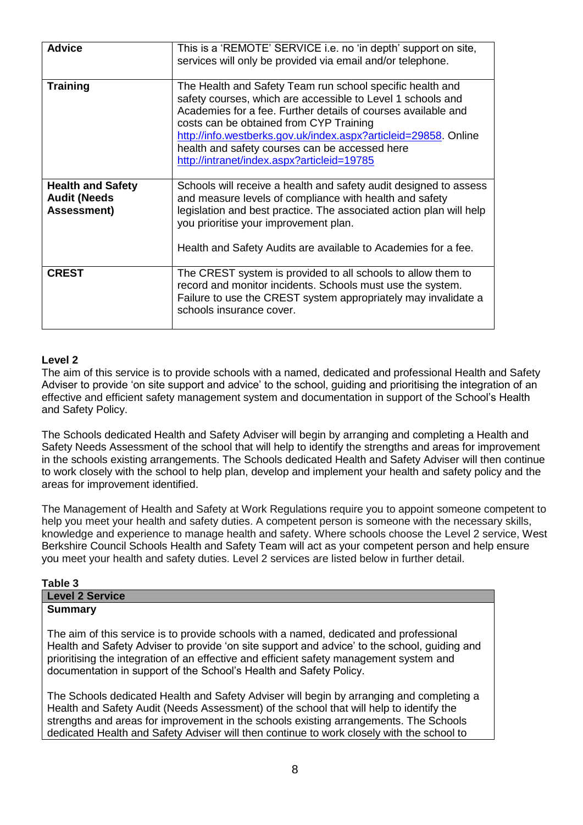| <b>Advice</b>                                                  | This is a 'REMOTE' SERVICE i.e. no 'in depth' support on site,<br>services will only be provided via email and/or telephone.                                                                                                                                                                                                                                                                            |
|----------------------------------------------------------------|---------------------------------------------------------------------------------------------------------------------------------------------------------------------------------------------------------------------------------------------------------------------------------------------------------------------------------------------------------------------------------------------------------|
| <b>Training</b>                                                | The Health and Safety Team run school specific health and<br>safety courses, which are accessible to Level 1 schools and<br>Academies for a fee. Further details of courses available and<br>costs can be obtained from CYP Training<br>http://info.westberks.gov.uk/index.aspx?articleid=29858. Online<br>health and safety courses can be accessed here<br>http://intranet/index.aspx?articleid=19785 |
| <b>Health and Safety</b><br><b>Audit (Needs</b><br>Assessment) | Schools will receive a health and safety audit designed to assess<br>and measure levels of compliance with health and safety<br>legislation and best practice. The associated action plan will help<br>you prioritise your improvement plan.<br>Health and Safety Audits are available to Academies for a fee.                                                                                          |
| <b>CREST</b>                                                   | The CREST system is provided to all schools to allow them to<br>record and monitor incidents. Schools must use the system.<br>Failure to use the CREST system appropriately may invalidate a<br>schools insurance cover.                                                                                                                                                                                |

## **Level 2**

The aim of this service is to provide schools with a named, dedicated and professional Health and Safety Adviser to provide 'on site support and advice' to the school, guiding and prioritising the integration of an effective and efficient safety management system and documentation in support of the School's Health and Safety Policy.

The Schools dedicated Health and Safety Adviser will begin by arranging and completing a Health and Safety Needs Assessment of the school that will help to identify the strengths and areas for improvement in the schools existing arrangements. The Schools dedicated Health and Safety Adviser will then continue to work closely with the school to help plan, develop and implement your health and safety policy and the areas for improvement identified.

The Management of Health and Safety at Work Regulations require you to appoint someone competent to help you meet your health and safety duties. A competent person is someone with the necessary skills, knowledge and experience to manage health and safety. Where schools choose the Level 2 service, West Berkshire Council Schools Health and Safety Team will act as your competent person and help ensure you meet your health and safety duties. Level 2 services are listed below in further detail.

| Table 3                                                                                                                                                                                                                                                                                                                                                 |
|---------------------------------------------------------------------------------------------------------------------------------------------------------------------------------------------------------------------------------------------------------------------------------------------------------------------------------------------------------|
| <b>Level 2 Service</b>                                                                                                                                                                                                                                                                                                                                  |
| <b>Summary</b>                                                                                                                                                                                                                                                                                                                                          |
| The aim of this service is to provide schools with a named, dedicated and professional<br>Health and Safety Adviser to provide 'on site support and advice' to the school, guiding and<br>prioritising the integration of an effective and efficient safety management system and<br>documentation in support of the School's Health and Safety Policy. |
| The Schools dedicated Health and Safety Adviser will begin by arranging and completing a<br>Health and Safety Audit (Needs Assessment) of the school that will help to identify the                                                                                                                                                                     |

Audit (Needs Assessment) of the school that will help to identify the strengths and areas for improvement in the schools existing arrangements. The Schools dedicated Health and Safety Adviser will then continue to work closely with the school to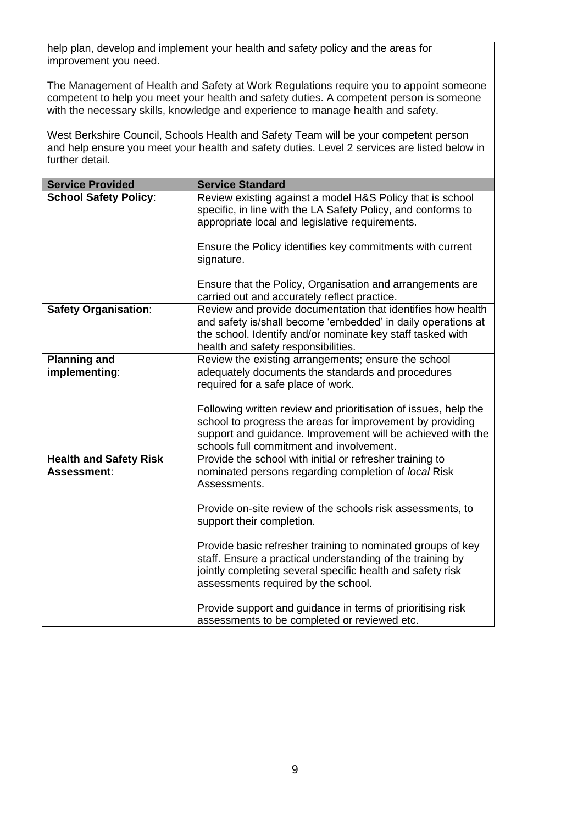help plan, develop and implement your health and safety policy and the areas for improvement you need.

The Management of Health and Safety at Work Regulations require you to appoint someone competent to help you meet your health and safety duties. A competent person is someone with the necessary skills, knowledge and experience to manage health and safety.

West Berkshire Council, Schools Health and Safety Team will be your competent person and help ensure you meet your health and safety duties. Level 2 services are listed below in further detail.

| <b>Service Provided</b>                      | <b>Service Standard</b>                                                                                                                                                                                                                 |
|----------------------------------------------|-----------------------------------------------------------------------------------------------------------------------------------------------------------------------------------------------------------------------------------------|
| <b>School Safety Policy:</b>                 | Review existing against a model H&S Policy that is school<br>specific, in line with the LA Safety Policy, and conforms to<br>appropriate local and legislative requirements.                                                            |
|                                              | Ensure the Policy identifies key commitments with current<br>signature.                                                                                                                                                                 |
|                                              | Ensure that the Policy, Organisation and arrangements are<br>carried out and accurately reflect practice.                                                                                                                               |
| <b>Safety Organisation:</b>                  | Review and provide documentation that identifies how health<br>and safety is/shall become 'embedded' in daily operations at<br>the school. Identify and/or nominate key staff tasked with<br>health and safety responsibilities.        |
| <b>Planning and</b><br>implementing:         | Review the existing arrangements; ensure the school<br>adequately documents the standards and procedures<br>required for a safe place of work.                                                                                          |
|                                              | Following written review and prioritisation of issues, help the<br>school to progress the areas for improvement by providing<br>support and guidance. Improvement will be achieved with the<br>schools full commitment and involvement. |
| <b>Health and Safety Risk</b><br>Assessment: | Provide the school with initial or refresher training to<br>nominated persons regarding completion of local Risk<br>Assessments.                                                                                                        |
|                                              | Provide on-site review of the schools risk assessments, to<br>support their completion.                                                                                                                                                 |
|                                              | Provide basic refresher training to nominated groups of key<br>staff. Ensure a practical understanding of the training by<br>jointly completing several specific health and safety risk<br>assessments required by the school.          |
|                                              | Provide support and guidance in terms of prioritising risk<br>assessments to be completed or reviewed etc.                                                                                                                              |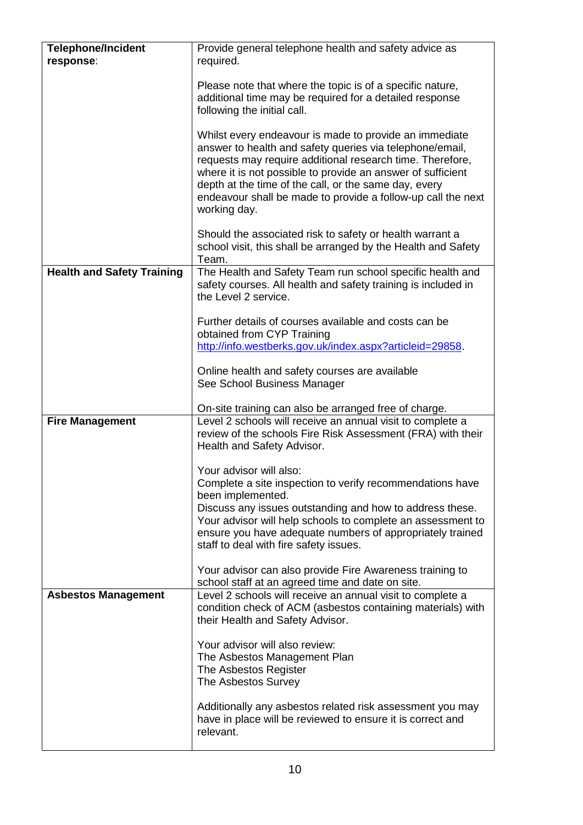| <b>Telephone/Incident</b><br>response: | Provide general telephone health and safety advice as<br>required.                                                                                                                                                                                                                                                                                                                      |
|----------------------------------------|-----------------------------------------------------------------------------------------------------------------------------------------------------------------------------------------------------------------------------------------------------------------------------------------------------------------------------------------------------------------------------------------|
|                                        | Please note that where the topic is of a specific nature,<br>additional time may be required for a detailed response<br>following the initial call.                                                                                                                                                                                                                                     |
|                                        | Whilst every endeavour is made to provide an immediate<br>answer to health and safety queries via telephone/email,<br>requests may require additional research time. Therefore,<br>where it is not possible to provide an answer of sufficient<br>depth at the time of the call, or the same day, every<br>endeavour shall be made to provide a follow-up call the next<br>working day. |
|                                        | Should the associated risk to safety or health warrant a<br>school visit, this shall be arranged by the Health and Safety<br>Team.                                                                                                                                                                                                                                                      |
| <b>Health and Safety Training</b>      | The Health and Safety Team run school specific health and<br>safety courses. All health and safety training is included in<br>the Level 2 service.                                                                                                                                                                                                                                      |
|                                        | Further details of courses available and costs can be<br>obtained from CYP Training<br>http://info.westberks.gov.uk/index.aspx?articleid=29858.                                                                                                                                                                                                                                         |
|                                        | Online health and safety courses are available<br>See School Business Manager                                                                                                                                                                                                                                                                                                           |
|                                        | On-site training can also be arranged free of charge.                                                                                                                                                                                                                                                                                                                                   |
| <b>Fire Management</b>                 | Level 2 schools will receive an annual visit to complete a<br>review of the schools Fire Risk Assessment (FRA) with their<br>Health and Safety Advisor.                                                                                                                                                                                                                                 |
|                                        | Your advisor will also:                                                                                                                                                                                                                                                                                                                                                                 |
|                                        | Complete a site inspection to verify recommendations have                                                                                                                                                                                                                                                                                                                               |
|                                        | been implemented.                                                                                                                                                                                                                                                                                                                                                                       |
|                                        | Discuss any issues outstanding and how to address these.<br>Your advisor will help schools to complete an assessment to<br>ensure you have adequate numbers of appropriately trained<br>staff to deal with fire safety issues.                                                                                                                                                          |
|                                        | Your advisor can also provide Fire Awareness training to<br>school staff at an agreed time and date on site.                                                                                                                                                                                                                                                                            |
| <b>Asbestos Management</b>             | Level 2 schools will receive an annual visit to complete a<br>condition check of ACM (asbestos containing materials) with<br>their Health and Safety Advisor.                                                                                                                                                                                                                           |
|                                        | Your advisor will also review:<br>The Asbestos Management Plan<br>The Asbestos Register<br>The Asbestos Survey                                                                                                                                                                                                                                                                          |
|                                        | Additionally any asbestos related risk assessment you may<br>have in place will be reviewed to ensure it is correct and<br>relevant.                                                                                                                                                                                                                                                    |

 $\mathbf{I}$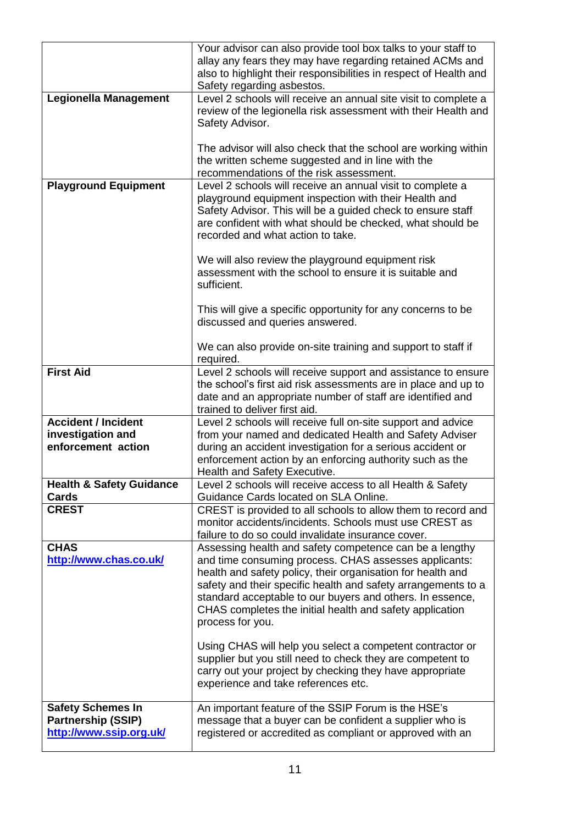|                                     | Your advisor can also provide tool box talks to your staff to<br>allay any fears they may have regarding retained ACMs and<br>also to highlight their responsibilities in respect of Health and<br>Safety regarding asbestos. |
|-------------------------------------|-------------------------------------------------------------------------------------------------------------------------------------------------------------------------------------------------------------------------------|
| <b>Legionella Management</b>        | Level 2 schools will receive an annual site visit to complete a                                                                                                                                                               |
|                                     | review of the legionella risk assessment with their Health and                                                                                                                                                                |
|                                     | Safety Advisor.                                                                                                                                                                                                               |
|                                     |                                                                                                                                                                                                                               |
|                                     | The advisor will also check that the school are working within                                                                                                                                                                |
|                                     | the written scheme suggested and in line with the                                                                                                                                                                             |
|                                     | recommendations of the risk assessment.                                                                                                                                                                                       |
| <b>Playground Equipment</b>         | Level 2 schools will receive an annual visit to complete a                                                                                                                                                                    |
|                                     | playground equipment inspection with their Health and                                                                                                                                                                         |
|                                     | Safety Advisor. This will be a guided check to ensure staff                                                                                                                                                                   |
|                                     | are confident with what should be checked, what should be                                                                                                                                                                     |
|                                     | recorded and what action to take.                                                                                                                                                                                             |
|                                     |                                                                                                                                                                                                                               |
|                                     | We will also review the playground equipment risk                                                                                                                                                                             |
|                                     | assessment with the school to ensure it is suitable and                                                                                                                                                                       |
|                                     | sufficient.                                                                                                                                                                                                                   |
|                                     |                                                                                                                                                                                                                               |
|                                     | This will give a specific opportunity for any concerns to be                                                                                                                                                                  |
|                                     | discussed and queries answered.                                                                                                                                                                                               |
|                                     |                                                                                                                                                                                                                               |
|                                     | We can also provide on-site training and support to staff if                                                                                                                                                                  |
|                                     | required.                                                                                                                                                                                                                     |
| <b>First Aid</b>                    | Level 2 schools will receive support and assistance to ensure                                                                                                                                                                 |
|                                     | the school's first aid risk assessments are in place and up to                                                                                                                                                                |
|                                     | date and an appropriate number of staff are identified and                                                                                                                                                                    |
|                                     | trained to deliver first aid.                                                                                                                                                                                                 |
| <b>Accident / Incident</b>          | Level 2 schools will receive full on-site support and advice                                                                                                                                                                  |
| investigation and                   | from your named and dedicated Health and Safety Adviser                                                                                                                                                                       |
| enforcement action                  | during an accident investigation for a serious accident or                                                                                                                                                                    |
|                                     | enforcement action by an enforcing authority such as the                                                                                                                                                                      |
|                                     | Health and Safety Executive.                                                                                                                                                                                                  |
| <b>Health &amp; Safety Guidance</b> | Level 2 schools will receive access to all Health & Safety                                                                                                                                                                    |
| <b>Cards</b>                        | Guidance Cards located on SLA Online.                                                                                                                                                                                         |
| <b>CREST</b>                        | CREST is provided to all schools to allow them to record and                                                                                                                                                                  |
|                                     | monitor accidents/incidents. Schools must use CREST as                                                                                                                                                                        |
|                                     | failure to do so could invalidate insurance cover.                                                                                                                                                                            |
| <b>CHAS</b>                         | Assessing health and safety competence can be a lengthy                                                                                                                                                                       |
| http://www.chas.co.uk/              | and time consuming process. CHAS assesses applicants:                                                                                                                                                                         |
|                                     | health and safety policy, their organisation for health and                                                                                                                                                                   |
|                                     | safety and their specific health and safety arrangements to a                                                                                                                                                                 |
|                                     | standard acceptable to our buyers and others. In essence,                                                                                                                                                                     |
|                                     |                                                                                                                                                                                                                               |
|                                     | CHAS completes the initial health and safety application                                                                                                                                                                      |
|                                     | process for you.                                                                                                                                                                                                              |
|                                     | Using CHAS will help you select a competent contractor or                                                                                                                                                                     |
|                                     | supplier but you still need to check they are competent to                                                                                                                                                                    |
|                                     | carry out your project by checking they have appropriate                                                                                                                                                                      |
|                                     | experience and take references etc.                                                                                                                                                                                           |
|                                     |                                                                                                                                                                                                                               |
| <b>Safety Schemes In</b>            | An important feature of the SSIP Forum is the HSE's                                                                                                                                                                           |
| <b>Partnership (SSIP)</b>           | message that a buyer can be confident a supplier who is                                                                                                                                                                       |
| http://www.ssip.org.uk/             | registered or accredited as compliant or approved with an                                                                                                                                                                     |
|                                     |                                                                                                                                                                                                                               |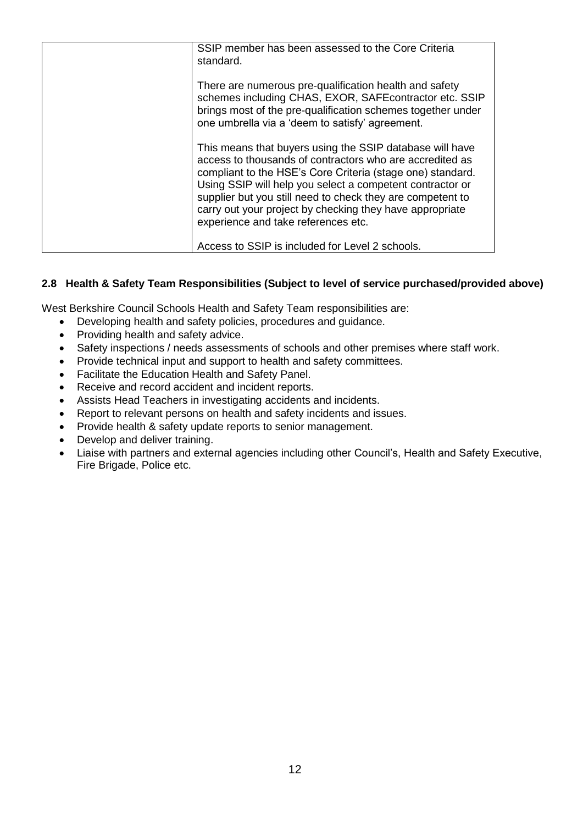| SSIP member has been assessed to the Core Criteria<br>standard.                                                                                                                                                                                                                                                                                                                                                  |
|------------------------------------------------------------------------------------------------------------------------------------------------------------------------------------------------------------------------------------------------------------------------------------------------------------------------------------------------------------------------------------------------------------------|
| There are numerous pre-qualification health and safety<br>schemes including CHAS, EXOR, SAFE contractor etc. SSIP<br>brings most of the pre-qualification schemes together under<br>one umbrella via a 'deem to satisfy' agreement.                                                                                                                                                                              |
| This means that buyers using the SSIP database will have<br>access to thousands of contractors who are accredited as<br>compliant to the HSE's Core Criteria (stage one) standard.<br>Using SSIP will help you select a competent contractor or<br>supplier but you still need to check they are competent to<br>carry out your project by checking they have appropriate<br>experience and take references etc. |
| Access to SSIP is included for Level 2 schools.                                                                                                                                                                                                                                                                                                                                                                  |

## **2.8 Health & Safety Team Responsibilities (Subject to level of service purchased/provided above)**

West Berkshire Council Schools Health and Safety Team responsibilities are:

- Developing health and safety policies, procedures and guidance.
- Providing health and safety advice.
- Safety inspections / needs assessments of schools and other premises where staff work.
- Provide technical input and support to health and safety committees.
- Facilitate the Education Health and Safety Panel.
- Receive and record accident and incident reports.
- Assists Head Teachers in investigating accidents and incidents.
- Report to relevant persons on health and safety incidents and issues.
- Provide health & safety update reports to senior management.
- Develop and deliver training.
- Liaise with partners and external agencies including other Council's, Health and Safety Executive, Fire Brigade, Police etc.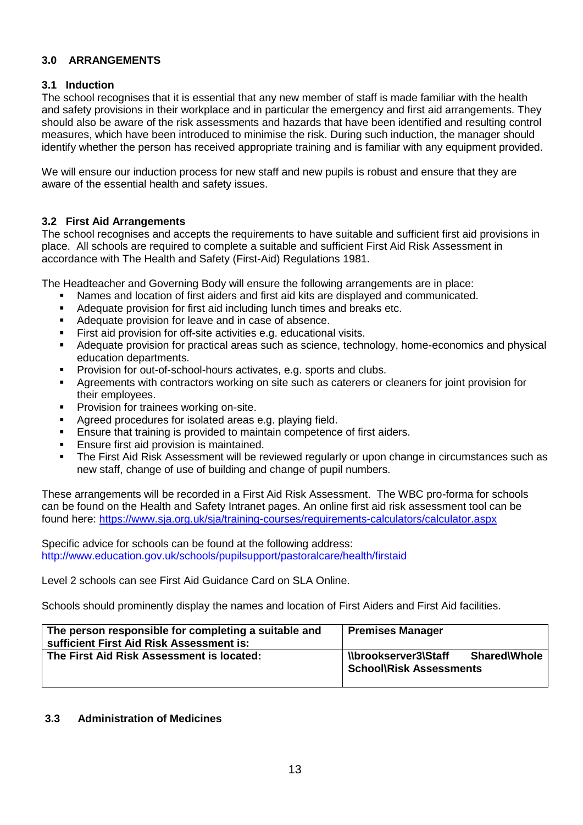## **3.0 ARRANGEMENTS**

#### **3.1 Induction**

The school recognises that it is essential that any new member of staff is made familiar with the health and safety provisions in their workplace and in particular the emergency and first aid arrangements. They should also be aware of the risk assessments and hazards that have been identified and resulting control measures, which have been introduced to minimise the risk. During such induction, the manager should identify whether the person has received appropriate training and is familiar with any equipment provided.

We will ensure our induction process for new staff and new pupils is robust and ensure that they are aware of the essential health and safety issues.

#### **3.2 First Aid Arrangements**

The school recognises and accepts the requirements to have suitable and sufficient first aid provisions in place. All schools are required to complete a suitable and sufficient First Aid Risk Assessment in accordance with The Health and Safety (First-Aid) Regulations 1981.

The Headteacher and Governing Body will ensure the following arrangements are in place:

- Names and location of first aiders and first aid kits are displayed and communicated.
- Adequate provision for first aid including lunch times and breaks etc.
- Adequate provision for leave and in case of absence.
- First aid provision for off-site activities e.g. educational visits.
- Adequate provision for practical areas such as science, technology, home-economics and physical education departments.
- Provision for out-of-school-hours activates, e.g. sports and clubs.
- Agreements with contractors working on site such as caterers or cleaners for joint provision for their employees.
- Provision for trainees working on-site.
- Agreed procedures for isolated areas e.g. playing field.
- Ensure that training is provided to maintain competence of first aiders.
- Ensure first aid provision is maintained.
- The First Aid Risk Assessment will be reviewed regularly or upon change in circumstances such as new staff, change of use of building and change of pupil numbers.

These arrangements will be recorded in a First Aid Risk Assessment. The WBC pro-forma for schools can be found on the Health and Safety Intranet pages. An online first aid risk assessment tool can be found here:<https://www.sja.org.uk/sja/training-courses/requirements-calculators/calculator.aspx>

Specific advice for schools can be found at the following address: <http://www.education.gov.uk/schools/pupilsupport/pastoralcare/health/firstaid>

Level 2 schools can see First Aid Guidance Card on SLA Online.

Schools should prominently display the names and location of First Aiders and First Aid facilities.

| The person responsible for completing a suitable and<br>sufficient First Aid Risk Assessment is: | <b>Premises Manager</b>                                                                          |
|--------------------------------------------------------------------------------------------------|--------------------------------------------------------------------------------------------------|
| The First Aid Risk Assessment is located:                                                        | <b>SharedWhole</b><br><b><i><u>Nbrookserver3 Staff</u></i></b><br><b>School\Risk Assessments</b> |

#### **3.3 Administration of Medicines**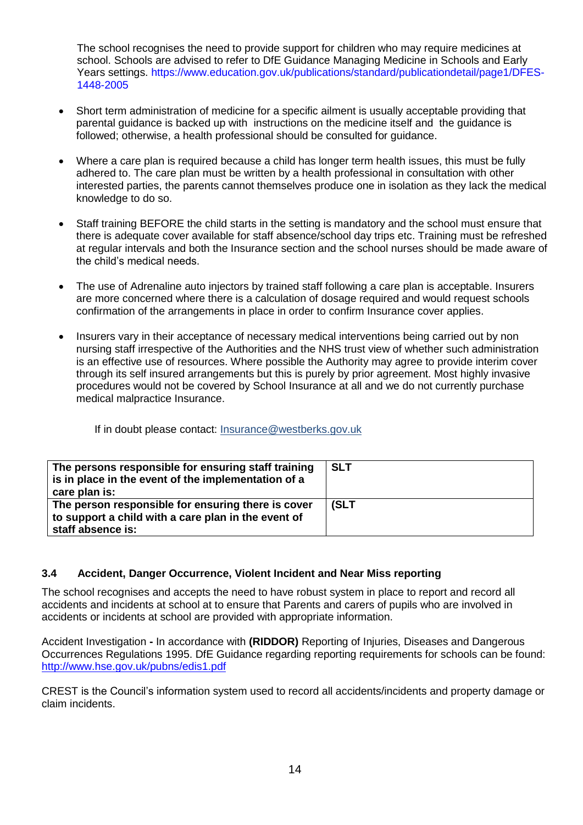The school recognises the need to provide support for children who may require medicines at school. Schools are advised to refer to DfE Guidance Managing Medicine in Schools and Early Years settings. [https://www.education.gov.uk/publications/standard/publicationdetail/page1/DFES-](https://www.education.gov.uk/publications/standard/publicationdetail/page1/DFES-1448-2005)[1448-2005](https://www.education.gov.uk/publications/standard/publicationdetail/page1/DFES-1448-2005)

- Short term administration of medicine for a specific ailment is usually acceptable providing that parental guidance is backed up with instructions on the medicine itself and the guidance is followed; otherwise, a health professional should be consulted for guidance.
- Where a care plan is required because a child has longer term health issues, this must be fully adhered to. The care plan must be written by a health professional in consultation with other interested parties, the parents cannot themselves produce one in isolation as they lack the medical knowledge to do so.
- Staff training BEFORE the child starts in the setting is mandatory and the school must ensure that there is adequate cover available for staff absence/school day trips etc. Training must be refreshed at regular intervals and both the Insurance section and the school nurses should be made aware of the child's medical needs.
- The use of Adrenaline auto injectors by trained staff following a care plan is acceptable. Insurers are more concerned where there is a calculation of dosage required and would request schools confirmation of the arrangements in place in order to confirm Insurance cover applies.
- Insurers vary in their acceptance of necessary medical interventions being carried out by non nursing staff irrespective of the Authorities and the NHS trust view of whether such administration is an effective use of resources. Where possible the Authority may agree to provide interim cover through its self insured arrangements but this is purely by prior agreement. Most highly invasive procedures would not be covered by School Insurance at all and we do not currently purchase medical malpractice Insurance.

If in doubt please contact: [Insurance@westberks.gov.uk](mailto:Insurance@westberks.gov.uk)

| The persons responsible for ensuring staff training<br>is in place in the event of the implementation of a<br>care plan is:    | <b>SLT</b> |
|--------------------------------------------------------------------------------------------------------------------------------|------------|
| The person responsible for ensuring there is cover<br>to support a child with a care plan in the event of<br>staff absence is: | (SLT       |

## **3.4 Accident, Danger Occurrence, Violent Incident and Near Miss reporting**

The school recognises and accepts the need to have robust system in place to report and record all accidents and incidents at school at to ensure that Parents and carers of pupils who are involved in accidents or incidents at school are provided with appropriate information.

Accident Investigation **-** In accordance with **(RIDDOR)** Reporting of Injuries, Diseases and Dangerous Occurrences Regulations 1995. DfE Guidance regarding reporting requirements for schools can be found: <http://www.hse.gov.uk/pubns/edis1.pdf>

CREST is the Council's information system used to record all accidents/incidents and property damage or claim incidents.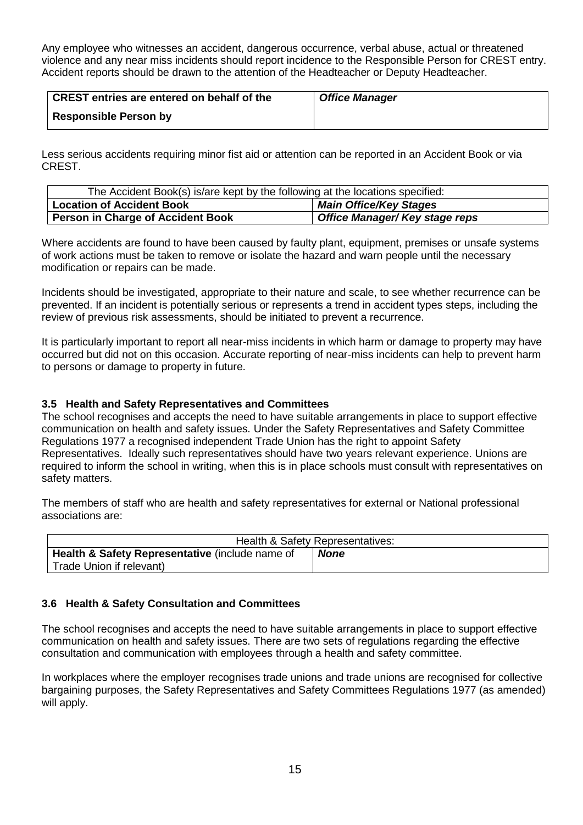Any employee who witnesses an accident, dangerous occurrence, verbal abuse, actual or threatened violence and any near miss incidents should report incidence to the Responsible Person for CREST entry. Accident reports should be drawn to the attention of the Headteacher or Deputy Headteacher.

| CREST entries are entered on behalf of the | <b>Office Manager</b> |
|--------------------------------------------|-----------------------|
| <b>Responsible Person by</b>               |                       |

Less serious accidents requiring minor fist aid or attention can be reported in an Accident Book or via CREST.

| The Accident Book(s) is/are kept by the following at the locations specified: |                                |  |
|-------------------------------------------------------------------------------|--------------------------------|--|
| <b>Location of Accident Book</b>                                              | <b>Main Office/Key Stages</b>  |  |
| Person in Charge of Accident Book                                             | Office Manager/ Key stage reps |  |

Where accidents are found to have been caused by faulty plant, equipment, premises or unsafe systems of work actions must be taken to remove or isolate the hazard and warn people until the necessary modification or repairs can be made.

Incidents should be investigated, appropriate to their nature and scale, to see whether recurrence can be prevented. If an incident is potentially serious or represents a trend in accident types steps, including the review of previous risk assessments, should be initiated to prevent a recurrence.

It is particularly important to report all near-miss incidents in which harm or damage to property may have occurred but did not on this occasion. Accurate reporting of near-miss incidents can help to prevent harm to persons or damage to property in future.

## **3.5 Health and Safety Representatives and Committees**

The school recognises and accepts the need to have suitable arrangements in place to support effective communication on health and safety issues. Under the Safety Representatives and Safety Committee Regulations 1977 a recognised independent Trade Union has the right to appoint Safety Representatives. Ideally such representatives should have two years relevant experience. Unions are required to inform the school in writing, when this is in place schools must consult with representatives on safety matters.

The members of staff who are health and safety representatives for external or National professional associations are:

|                                                 | Health & Safety Representatives: |
|-------------------------------------------------|----------------------------------|
| Health & Safety Representative (include name of | <b>None</b>                      |
| Trade Union if relevant)                        |                                  |

#### **3.6 Health & Safety Consultation and Committees**

The school recognises and accepts the need to have suitable arrangements in place to support effective communication on health and safety issues. There are two sets of regulations regarding the effective consultation and communication with employees through a health and safety committee.

In workplaces where the employer recognises trade unions and trade unions are recognised for collective bargaining purposes, the Safety Representatives and Safety Committees Regulations 1977 (as amended) will apply.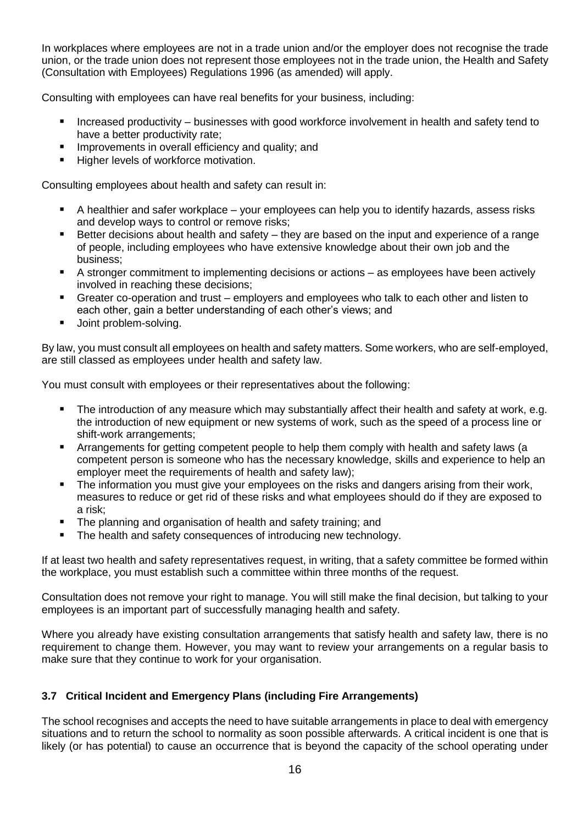In workplaces where employees are not in a trade union and/or the employer does not recognise the trade union, or the trade union does not represent those employees not in the trade union, the Health and Safety (Consultation with Employees) Regulations 1996 (as amended) will apply.

Consulting with employees can have real benefits for your business, including:

- Increased productivity businesses with good workforce involvement in health and safety tend to have a better productivity rate;
- Improvements in overall efficiency and quality; and
- Higher levels of workforce motivation.

Consulting employees about health and safety can result in:

- A healthier and safer workplace your employees can help you to identify hazards, assess risks and develop ways to control or remove risks;
- Better decisions about health and safety they are based on the input and experience of a range of people, including employees who have extensive knowledge about their own job and the business;
- A stronger commitment to implementing decisions or actions as employees have been actively involved in reaching these decisions;
- Greater co-operation and trust employers and employees who talk to each other and listen to each other, gain a better understanding of each other's views; and
- **Joint problem-solving.**

By law, you must consult all employees on health and safety matters. Some workers, who are self-employed, are still classed as employees under health and safety law.

You must consult with employees or their representatives about the following:

- The introduction of any measure which may substantially affect their health and safety at work, e.g. the introduction of new equipment or new systems of work, such as the speed of a process line or shift-work arrangements;
- Arrangements for getting competent people to help them comply with health and safety laws (a competent person is someone who has the necessary knowledge, skills and experience to help an employer meet the requirements of health and safety law);
- The information you must give your employees on the risks and dangers arising from their work, measures to reduce or get rid of these risks and what employees should do if they are exposed to a risk;
- The planning and organisation of health and safety training; and
- The health and safety consequences of introducing new technology.

If at least two health and safety representatives request, in writing, that a safety committee be formed within the workplace, you must establish such a committee within three months of the request.

Consultation does not remove your right to manage. You will still make the final decision, but talking to your employees is an important part of successfully managing health and safety.

Where you already have existing consultation arrangements that satisfy health and safety law, there is no requirement to change them. However, you may want to review your arrangements on a regular basis to make sure that they continue to work for your organisation.

## **3.7 Critical Incident and Emergency Plans (including Fire Arrangements)**

The school recognises and accepts the need to have suitable arrangements in place to deal with emergency situations and to return the school to normality as soon possible afterwards. A critical incident is one that is likely (or has potential) to cause an occurrence that is beyond the capacity of the school operating under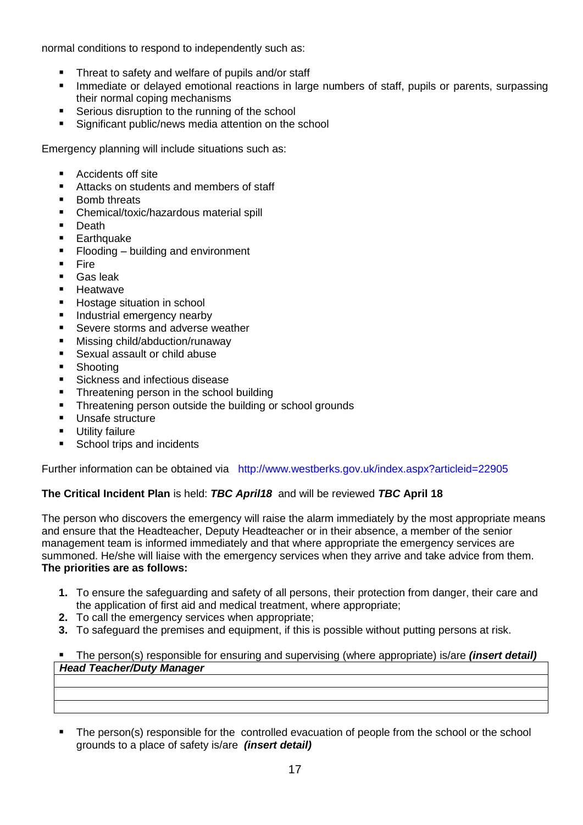normal conditions to respond to independently such as:

- Threat to safety and welfare of pupils and/or staff
- Immediate or delayed emotional reactions in large numbers of staff, pupils or parents, surpassing their normal coping mechanisms
- Serious disruption to the running of the school
- Significant public/news media attention on the school

Emergency planning will include situations such as:

- Accidents off site
- Attacks on students and members of staff
- Bomb threats
- Chemical/toxic/hazardous material spill
- Death
- **Earthquake**
- Flooding building and environment
- Fire
- Gas leak
- Heatwave
- Hostage situation in school
- **Industrial emergency nearby**
- Severe storms and adverse weather
- Missing child/abduction/runaway
- Sexual assault or child abuse
- Shooting
- Sickness and infectious disease
- Threatening person in the school building
- Threatening person outside the building or school grounds
- Unsafe structure
- Utility failure
- School trips and incidents

Further information can be obtained via http://www.westberks.gov.uk/index.aspx?articleid=22905

## **The Critical Incident Plan** is held: *TBC April18* and will be reviewed *TBC* **April 18**

The person who discovers the emergency will raise the alarm immediately by the most appropriate means and ensure that the Headteacher, Deputy Headteacher or in their absence, a member of the senior management team is informed immediately and that where appropriate the emergency services are summoned. He/she will liaise with the emergency services when they arrive and take advice from them. **The priorities are as follows:**

- **1.** To ensure the safeguarding and safety of all persons, their protection from danger, their care and the application of first aid and medical treatment, where appropriate;
- **2.** To call the emergency services when appropriate;
- **3.** To safeguard the premises and equipment, if this is possible without putting persons at risk.

 The person(s) responsible for ensuring and supervising (where appropriate) is/are *(insert detail) Head Teacher/Duty Manager*

 The person(s) responsible for the controlled evacuation of people from the school or the school grounds to a place of safety is/are *(insert detail)*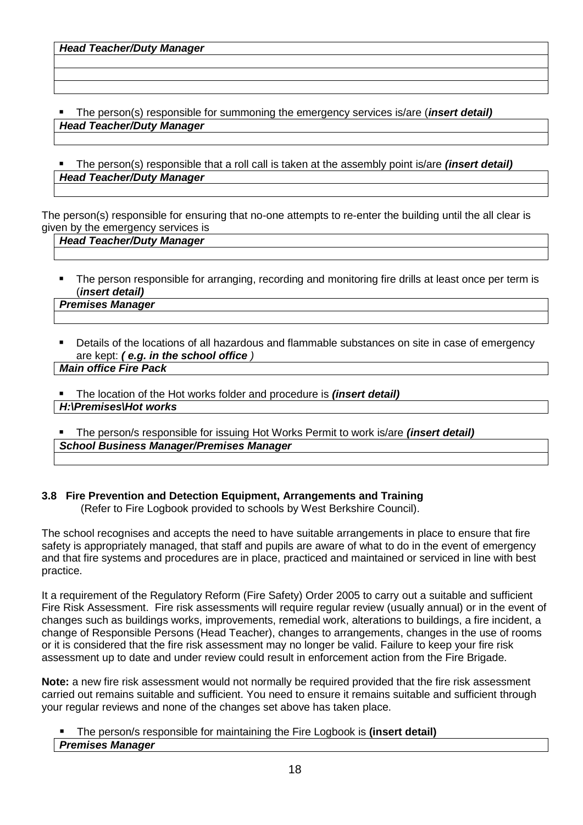The person(s) responsible for summoning the emergency services is/are (*insert detail) Head Teacher/Duty Manager*

 The person(s) responsible that a roll call is taken at the assembly point is/are *(insert detail) Head Teacher/Duty Manager*

The person(s) responsible for ensuring that no-one attempts to re-enter the building until the all clear is given by the emergency services is

## *Head Teacher/Duty Manager*

 The person responsible for arranging, recording and monitoring fire drills at least once per term is (*insert detail)*

#### *Premises Manager*

- Details of the locations of all hazardous and flammable substances on site in case of emergency are kept: *( e.g. in the school office ) Main office Fire Pack*
- The location of the Hot works folder and procedure is *(insert detail) H:\Premises\Hot works*

 The person/s responsible for issuing Hot Works Permit to work is/are *(insert detail) School Business Manager/Premises Manager*

## **3.8 Fire Prevention and Detection Equipment, Arrangements and Training**

(Refer to Fire Logbook provided to schools by West Berkshire Council).

The school recognises and accepts the need to have suitable arrangements in place to ensure that fire safety is appropriately managed, that staff and pupils are aware of what to do in the event of emergency and that fire systems and procedures are in place, practiced and maintained or serviced in line with best practice.

It a requirement of the Regulatory Reform (Fire Safety) Order 2005 to carry out a suitable and sufficient Fire Risk Assessment. Fire risk assessments will require regular review (usually annual) or in the event of changes such as buildings works, improvements, remedial work, alterations to buildings, a fire incident, a change of Responsible Persons (Head Teacher), changes to arrangements, changes in the use of rooms or it is considered that the fire risk assessment may no longer be valid. Failure to keep your fire risk assessment up to date and under review could result in enforcement action from the Fire Brigade.

**Note:** a new fire risk assessment would not normally be required provided that the fire risk assessment carried out remains suitable and sufficient. You need to ensure it remains suitable and sufficient through your regular reviews and none of the changes set above has taken place.

#### The person/s responsible for maintaining the Fire Logbook is **(insert detail)** *Premises Manager*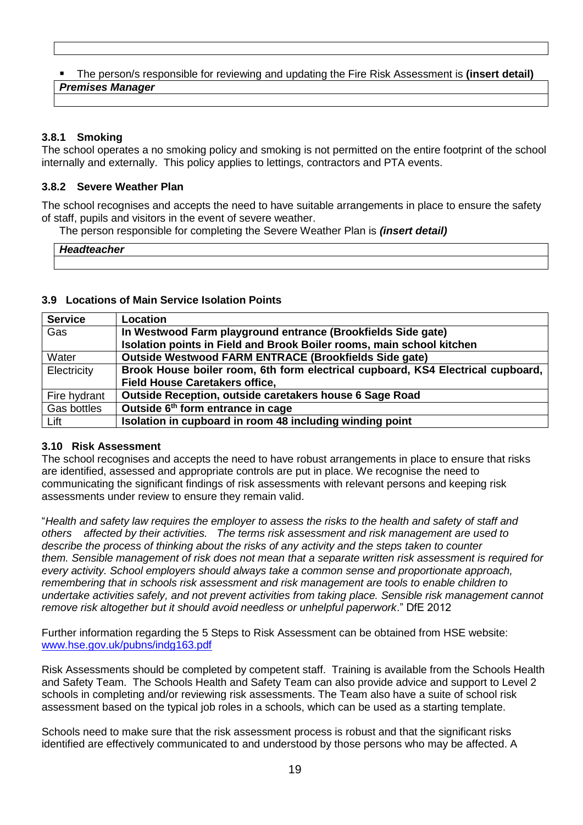#### The person/s responsible for reviewing and updating the Fire Risk Assessment is **(insert detail)** *Premises Manager*

## **3.8.1 Smoking**

The school operates a no smoking policy and smoking is not permitted on the entire footprint of the school internally and externally. This policy applies to lettings, contractors and PTA events.

## **3.8.2 Severe Weather Plan**

The school recognises and accepts the need to have suitable arrangements in place to ensure the safety of staff, pupils and visitors in the event of severe weather.

The person responsible for completing the Severe Weather Plan is *(insert detail)*

| Headteacher |  |
|-------------|--|
|             |  |

#### **3.9 Locations of Main Service Isolation Points**

| <b>Service</b> | <b>Location</b>                                                                 |  |
|----------------|---------------------------------------------------------------------------------|--|
| Gas            | In Westwood Farm playground entrance (Brookfields Side gate)                    |  |
|                | Isolation points in Field and Brook Boiler rooms, main school kitchen           |  |
| Water          | <b>Outside Westwood FARM ENTRACE (Brookfields Side gate)</b>                    |  |
| Electricity    | Brook House boiler room, 6th form electrical cupboard, KS4 Electrical cupboard, |  |
|                | <b>Field House Caretakers office,</b>                                           |  |
| Fire hydrant   | Outside Reception, outside caretakers house 6 Sage Road                         |  |
| Gas bottles    | Outside 6 <sup>th</sup> form entrance in cage                                   |  |
| Lift           | Isolation in cupboard in room 48 including winding point                        |  |

#### **3.10 Risk Assessment**

The school recognises and accepts the need to have robust arrangements in place to ensure that risks are identified, assessed and appropriate controls are put in place. We recognise the need to communicating the significant findings of risk assessments with relevant persons and keeping risk assessments under review to ensure they remain valid.

"*Health and safety law requires the employer to assess the risks to the health and safety of staff and others affected by their activities. The terms risk assessment and risk management are used to describe the process of thinking about the risks of any activity and the steps taken to counter them. Sensible management of risk does not mean that a separate written risk assessment is required for every activity. School employers should always take a common sense and proportionate approach, remembering that in schools risk assessment and risk management are tools to enable children to undertake activities safely, and not prevent activities from taking place. Sensible risk management cannot remove risk altogether but it should avoid needless or unhelpful paperwork*." DfE 2012

Further information regarding the 5 Steps to Risk Assessment can be obtained from HSE website: [www.hse.gov.uk/pubns/indg163.pdf](http://www.hse.gov.uk/pubns/indg163.pdf)

Risk Assessments should be completed by competent staff. Training is available from the Schools Health and Safety Team. The Schools Health and Safety Team can also provide advice and support to Level 2 schools in completing and/or reviewing risk assessments. The Team also have a suite of school risk assessment based on the typical job roles in a schools, which can be used as a starting template.

Schools need to make sure that the risk assessment process is robust and that the significant risks identified are effectively communicated to and understood by those persons who may be affected. A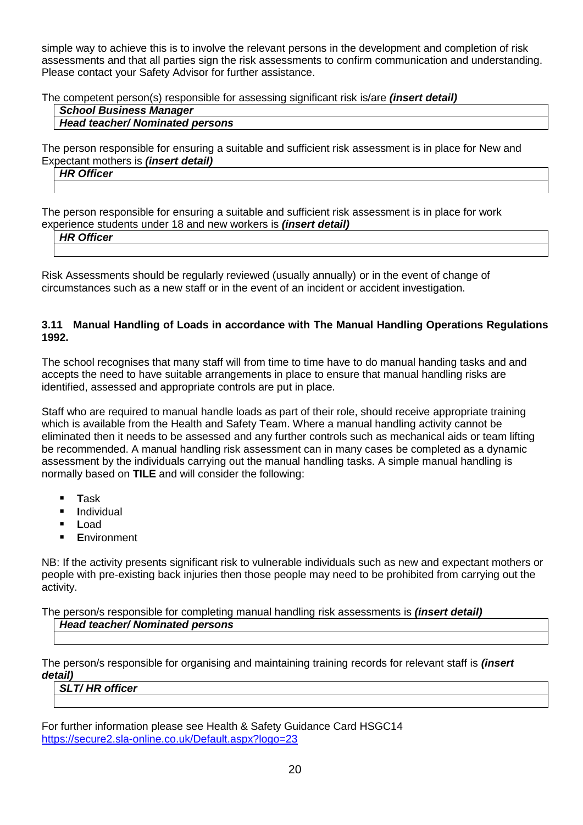simple way to achieve this is to involve the relevant persons in the development and completion of risk assessments and that all parties sign the risk assessments to confirm communication and understanding. Please contact your Safety Advisor for further assistance.

The competent person(s) responsible for assessing significant risk is/are *(insert detail)*

#### *School Business Manager Head teacher/ Nominated persons*

The person responsible for ensuring a suitable and sufficient risk assessment is in place for New and Expectant mothers is *(insert detail)*

| <b>HR Officer</b> |  |  |
|-------------------|--|--|
|                   |  |  |
|                   |  |  |

The person responsible for ensuring a suitable and sufficient risk assessment is in place for work experience students under 18 and new workers is *(insert detail)*

| -יים חו<br><b>Officer</b><br>,,,, |  |  |
|-----------------------------------|--|--|
|                                   |  |  |

Risk Assessments should be regularly reviewed (usually annually) or in the event of change of circumstances such as a new staff or in the event of an incident or accident investigation.

#### **3.11 Manual Handling of Loads in accordance with The Manual Handling Operations Regulations 1992.**

The school recognises that many staff will from time to time have to do manual handing tasks and and accepts the need to have suitable arrangements in place to ensure that manual handling risks are identified, assessed and appropriate controls are put in place.

Staff who are required to manual handle loads as part of their role, should receive appropriate training which is available from the Health and Safety Team. Where a manual handling activity cannot be eliminated then it needs to be assessed and any further controls such as mechanical aids or team lifting be recommended. A manual handling risk assessment can in many cases be completed as a dynamic assessment by the individuals carrying out the manual handling tasks. A simple manual handling is normally based on **TILE** and will consider the following:

- **T**ask
- **I**ndividual
- **L**oad
- **E**nvironment

NB: If the activity presents significant risk to vulnerable individuals such as new and expectant mothers or people with pre-existing back injuries then those people may need to be prohibited from carrying out the activity.

The person/s responsible for completing manual handling risk assessments is *(insert detail)*

## *Head teacher/ Nominated persons*

The person/s responsible for organising and maintaining training records for relevant staff is *(insert detail)*

*SLT/ HR officer*

For further information please see Health & Safety Guidance Card HSGC14 <https://secure2.sla-online.co.uk/Default.aspx?logo=23>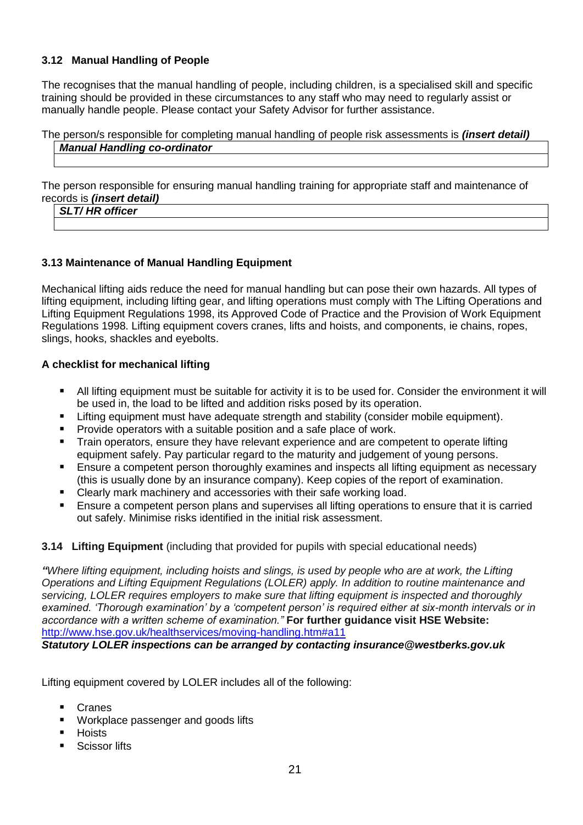## **3.12 Manual Handling of People**

The recognises that the manual handling of people, including children, is a specialised skill and specific training should be provided in these circumstances to any staff who may need to regularly assist or manually handle people. Please contact your Safety Advisor for further assistance.

## The person/s responsible for completing manual handling of people risk assessments is *(insert detail) Manual Handling co-ordinator*

The person responsible for ensuring manual handling training for appropriate staff and maintenance of records is *(insert detail)*

*SLT/ HR officer*

## **3.13 Maintenance of Manual Handling Equipment**

Mechanical lifting aids reduce the need for manual handling but can pose their own hazards. All types of lifting equipment, including lifting gear, and lifting operations must comply with The Lifting Operations and Lifting Equipment Regulations 1998, its Approved Code of Practice and the Provision of Work Equipment Regulations 1998. Lifting equipment covers cranes, lifts and hoists, and components, ie chains, ropes, slings, hooks, shackles and eyebolts.

## **A checklist for mechanical lifting**

- All lifting equipment must be suitable for activity it is to be used for. Consider the environment it will be used in, the load to be lifted and addition risks posed by its operation.
- **EXTER** Lifting equipment must have adequate strength and stability (consider mobile equipment).
- Provide operators with a suitable position and a safe place of work.
- Train operators, ensure they have relevant experience and are competent to operate lifting equipment safely. Pay particular regard to the maturity and judgement of young persons.
- **Ensure a competent person thoroughly examines and inspects all lifting equipment as necessary** (this is usually done by an insurance company). Keep copies of the report of examination.
- Clearly mark machinery and accessories with their safe working load.
- Ensure a competent person plans and supervises all lifting operations to ensure that it is carried out safely. Minimise risks identified in the initial risk assessment.

#### **3.14 Lifting Equipment** (including that provided for pupils with special educational needs)

*"Where lifting equipment, including hoists and slings, is used by people who are at work, the Lifting Operations and Lifting Equipment Regulations (LOLER) apply. In addition to routine maintenance and servicing, LOLER requires employers to make sure that lifting equipment is inspected and thoroughly examined. 'Thorough examination' by a 'competent person' is required either at six-month intervals or in accordance with a written scheme of examination."* **For further guidance visit HSE Website:** <http://www.hse.gov.uk/healthservices/moving-handling.htm#a11>

*Statutory LOLER inspections can be arranged by contacting insurance@westberks.gov.uk*

Lifting equipment covered by LOLER includes all of the following:

- Cranes
- **Workplace passenger and goods lifts**
- **Hoists**
- Scissor lifts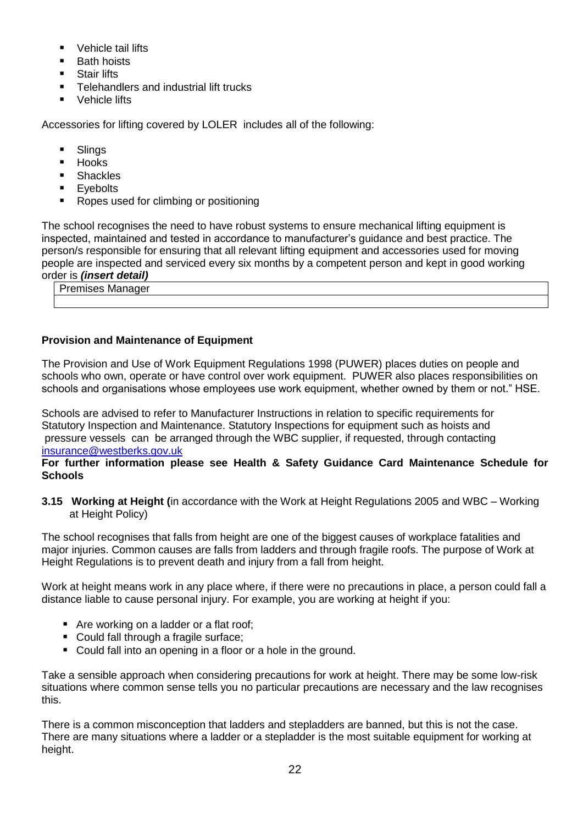- **Vehicle tail lifts**
- Bath hoists
- **Stair lifts**
- **Telehandlers and industrial lift trucks**
- Vehicle lifts

Accessories for lifting covered by LOLER includes all of the following:

- **Slings**
- **Hooks**
- **Shackles**
- **E**vebolts
- Ropes used for climbing or positioning

The school recognises the need to have robust systems to ensure mechanical lifting equipment is inspected, maintained and tested in accordance to manufacturer's guidance and best practice. The person/s responsible for ensuring that all relevant lifting equipment and accessories used for moving people are inspected and serviced every six months by a competent person and kept in good working order is *(insert detail)*

Premises Manager

## **Provision and Maintenance of Equipment**

The Provision and Use of Work Equipment Regulations 1998 (PUWER) places duties on people and schools who own, operate or have control over work equipment. PUWER also places responsibilities on schools and organisations whose employees use work equipment, whether owned by them or not." HSE.

Schools are advised to refer to Manufacturer Instructions in relation to specific requirements for Statutory Inspection and Maintenance. Statutory Inspections for equipment such as hoists and pressure vessels can be arranged through the WBC supplier, if requested, through contacting [insurance@westberks.gov.uk](mailto:insurance@westberks.gov.uk)

#### **For further information please see Health & Safety Guidance Card Maintenance Schedule for Schools**

**3.15 Working at Height (**in accordance with the Work at Height Regulations 2005 and WBC – Working at Height Policy)

The school recognises that falls from height are one of the biggest causes of workplace fatalities and major injuries. Common causes are falls from ladders and through fragile roofs. The purpose of Work at Height Regulations is to prevent death and injury from a fall from height.

Work at height means work in any place where, if there were no precautions in place, a person could fall a distance liable to cause personal injury. For example, you are working at height if you:

- Are working on a ladder or a flat roof;
- Could fall through a fragile surface;
- Could fall into an opening in a floor or a hole in the ground.

Take a sensible approach when considering precautions for work at height. There may be some low-risk situations where common sense tells you no particular precautions are necessary and the law recognises this.

There is a common misconception that ladders and stepladders are banned, but this is not the case. There are many situations where a ladder or a stepladder is the most suitable equipment for working at height.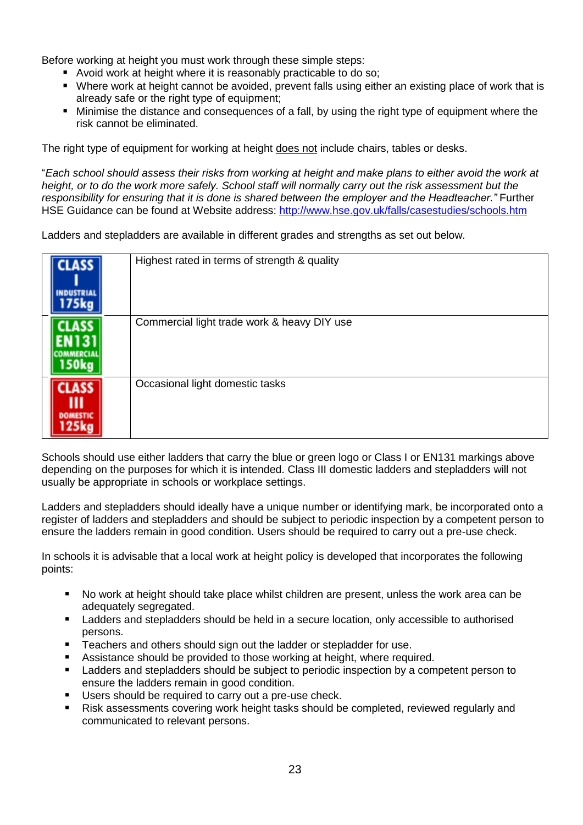Before working at height you must work through these simple steps:

- **Avoid work at height where it is reasonably practicable to do so;**
- Where work at height cannot be avoided, prevent falls using either an existing place of work that is already safe or the right type of equipment;
- Minimise the distance and consequences of a fall, by using the right type of equipment where the risk cannot be eliminated.

The right type of equipment for working at height does not include chairs, tables or desks.

"*Each school should assess their risks from working at height and make plans to either avoid the work at height, or to do the work more safely. School staff will normally carry out the risk assessment but the responsibility for ensuring that it is done is shared between the employer and the Headteacher."* Further HSE Guidance can be found at Website address:<http://www.hse.gov.uk/falls/casestudies/schools.htm>

Ladders and stepladders are available in different grades and strengths as set out below.

| 1455 | Highest rated in terms of strength & quality |
|------|----------------------------------------------|
|      | Commercial light trade work & heavy DIY use  |
| LASS | Occasional light domestic tasks              |

Schools should use either ladders that carry the blue or green logo or Class I or EN131 markings above depending on the purposes for which it is intended. Class III domestic ladders and stepladders will not usually be appropriate in schools or workplace settings.

Ladders and stepladders should ideally have a unique number or identifying mark, be incorporated onto a register of ladders and stepladders and should be subject to periodic inspection by a competent person to ensure the ladders remain in good condition. Users should be required to carry out a pre-use check.

In schools it is advisable that a local work at height policy is developed that incorporates the following points:

- No work at height should take place whilst children are present, unless the work area can be adequately segregated.
- Ladders and stepladders should be held in a secure location, only accessible to authorised persons.
- **Teachers and others should sign out the ladder or stepladder for use.**
- Assistance should be provided to those working at height, where required.
- Ladders and stepladders should be subject to periodic inspection by a competent person to ensure the ladders remain in good condition.
- **Users should be required to carry out a pre-use check.**
- Risk assessments covering work height tasks should be completed, reviewed regularly and communicated to relevant persons.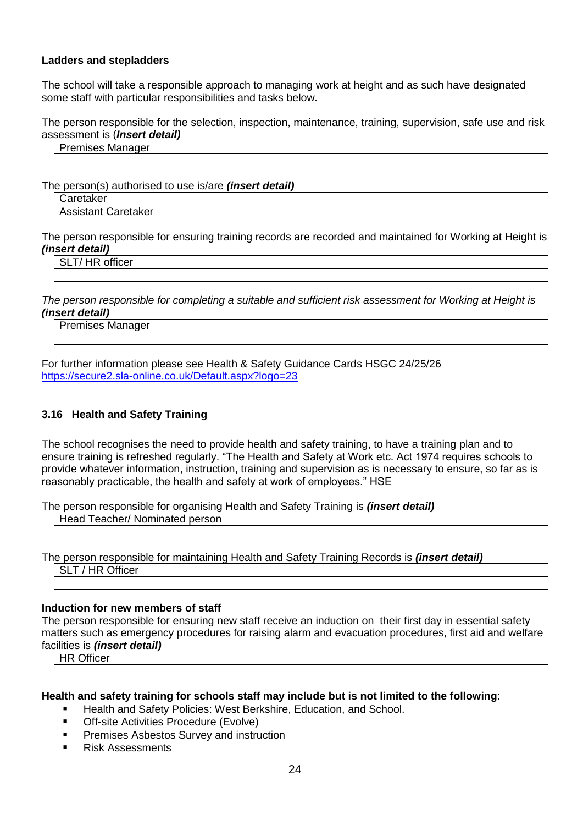#### **Ladders and stepladders**

The school will take a responsible approach to managing work at height and as such have designated some staff with particular responsibilities and tasks below.

The person responsible for the selection, inspection, maintenance, training, supervision, safe use and risk assessment is (*Insert detail)*

#### Premises Manager

The person(s) authorised to use is/are *(insert detail)*

| Caretaker           |
|---------------------|
| Assistant Caretaker |

The person responsible for ensuring training records are recorded and maintained for Working at Height is *(insert detail)* 

SLT/ HR officer

*The person responsible for completing a suitable and sufficient risk assessment for Working at Height is (insert detail)* 

Premises Manager

For further information please see Health & Safety Guidance Cards HSGC 24/25/26 <https://secure2.sla-online.co.uk/Default.aspx?logo=23>

#### **3.16 Health and Safety Training**

The school recognises the need to provide health and safety training, to have a training plan and to ensure training is refreshed regularly. "The Health and Safety at Work etc. Act 1974 requires schools to provide whatever information, instruction, training and supervision as is necessary to ensure, so far as is reasonably practicable, the health and safety at work of employees." HSE

The person responsible for organising Health and Safety Training is *(insert detail)* 

Head Teacher/ Nominated person

The person responsible for maintaining Health and Safety Training Records is *(insert detail)* SLT / HR Officer

#### **Induction for new members of staff**

The person responsible for ensuring new staff receive an induction on their first day in essential safety matters such as emergency procedures for raising alarm and evacuation procedures, first aid and welfare facilities is *(insert detail)*

HR Officer

#### **Health and safety training for schools staff may include but is not limited to the following**:

- Health and Safety Policies: West Berkshire, Education, and School.
- **Off-site Activities Procedure (Evolve)**
- **Premises Asbestos Survey and instruction**
- Risk Assessments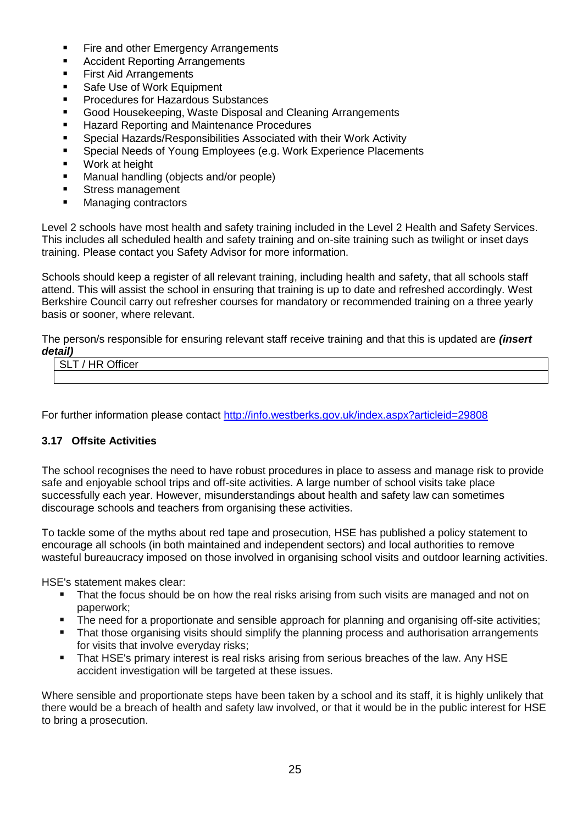- Fire and other Emergency Arrangements
- **Accident Reporting Arrangements**
- **First Aid Arrangements**
- Safe Use of Work Equipment
- Procedures for Hazardous Substances
- Good Housekeeping, Waste Disposal and Cleaning Arrangements
- Hazard Reporting and Maintenance Procedures
- Special Hazards/Responsibilities Associated with their Work Activity
- Special Needs of Young Employees (e.g. Work Experience Placements
- **Work at height**
- Manual handling (objects and/or people)
- **Stress management**
- **Managing contractors**

Level 2 schools have most health and safety training included in the Level 2 Health and Safety Services. This includes all scheduled health and safety training and on-site training such as twilight or inset days training. Please contact you Safety Advisor for more information.

Schools should keep a register of all relevant training, including health and safety, that all schools staff attend. This will assist the school in ensuring that training is up to date and refreshed accordingly. West Berkshire Council carry out refresher courses for mandatory or recommended training on a three yearly basis or sooner, where relevant.

The person/s responsible for ensuring relevant staff receive training and that this is updated are *(insert detail)*

| . |                                               |
|---|-----------------------------------------------|
|   | $\sim$ $\cdots$<br>--<br>$\sim$<br>лнсег<br>. |
|   |                                               |
|   |                                               |
|   |                                               |

For further information please contact<http://info.westberks.gov.uk/index.aspx?articleid=29808>

## **3.17 Offsite Activities**

The school recognises the need to have robust procedures in place to assess and manage risk to provide safe and enjoyable school trips and off-site activities. A large number of school visits take place successfully each year. However, misunderstandings about health and safety law can sometimes discourage schools and teachers from organising these activities.

To tackle some of the myths about red tape and prosecution, HSE has published a policy statement to encourage all schools (in both maintained and independent sectors) and local authorities to remove wasteful bureaucracy imposed on those involved in organising school visits and outdoor learning activities.

HSE's statement makes clear:

- That the focus should be on how the real risks arising from such visits are managed and not on paperwork;
- The need for a proportionate and sensible approach for planning and organising off-site activities;
- **That those organising visits should simplify the planning process and authorisation arrangements** for visits that involve everyday risks;
- That HSE's primary interest is real risks arising from serious breaches of the law. Any HSE accident investigation will be targeted at these issues.

Where sensible and proportionate steps have been taken by a school and its staff, it is highly unlikely that there would be a breach of health and safety law involved, or that it would be in the public interest for HSE to bring a prosecution.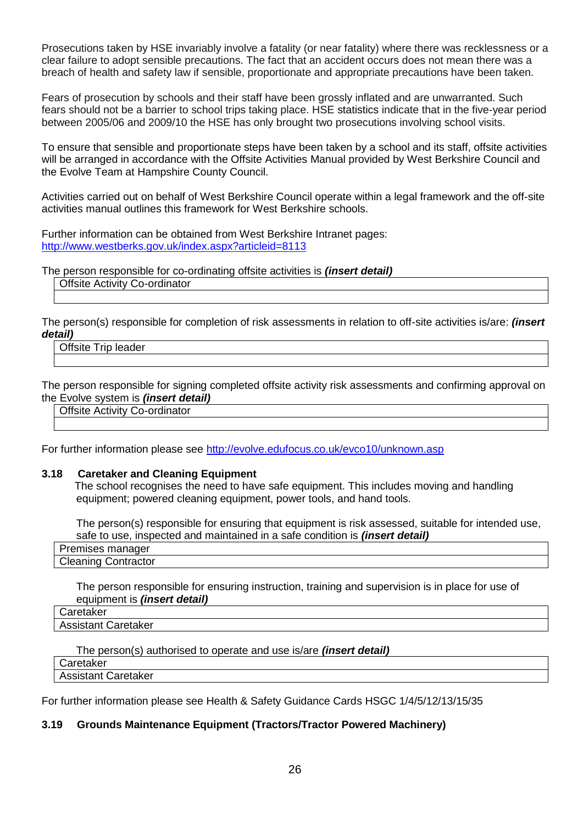Prosecutions taken by HSE invariably involve a fatality (or near fatality) where there was recklessness or a clear failure to adopt sensible precautions. The fact that an accident occurs does not mean there was a breach of health and safety law if sensible, proportionate and appropriate precautions have been taken.

Fears of prosecution by schools and their staff have been grossly inflated and are unwarranted. Such fears should not be a barrier to school trips taking place. HSE [statistics](http://www.hse.gov.uk/services/education/school-trips.htm#statistics) indicate that in the five-year period between 2005/06 and 2009/10 the HSE has only brought two prosecutions involving school visits.

To ensure that sensible and proportionate steps have been taken by a school and its staff, offsite activities will be arranged in accordance with the Offsite Activities Manual provided by West Berkshire Council and the Evolve Team at Hampshire County Council.

Activities carried out on behalf of West Berkshire Council operate within a legal framework and the off-site activities manual outlines this framework for West Berkshire schools.

Further information can be obtained from West Berkshire Intranet pages: <http://www.westberks.gov.uk/index.aspx?articleid=8113>

The person responsible for co-ordinating offsite activities is *(insert detail)*

#### Offsite Activity Co-ordinator

The person(s) responsible for completion of risk assessments in relation to off-site activities is/are: *(insert detail)* 

Offsite Trip leader

The person responsible for signing completed offsite activity risk assessments and confirming approval on the Evolve system is *(insert detail)* 

Offsite Activity Co-ordinator

For further information please see<http://evolve.edufocus.co.uk/evco10/unknown.asp>

#### **3.18 Caretaker and Cleaning Equipment**

 The school recognises the need to have safe equipment. This includes moving and handling equipment; powered cleaning equipment, power tools, and hand tools.

The person(s) responsible for ensuring that equipment is risk assessed, suitable for intended use, safe to use, inspected and maintained in a safe condition is *(insert detail)*

| Ē<br>$\sim$ $\sim$ $\mu$<br>י⊣ו ו |  |
|-----------------------------------|--|
| <b>PICALIII</b>                   |  |

The person responsible for ensuring instruction, training and supervision is in place for use of equipment is *(insert detail)*

| $\sqrt{2}$<br>"<br>.<br>і акел                   |  |
|--------------------------------------------------|--|
| $\sim$ $\sim$ $\sim$ $\sim$ $\sim$<br>taletakel. |  |
|                                                  |  |

The person(s) authorised to operate and use is/are *(insert detail)* **Caretaker** 

Assistant Caretaker

For further information please see Health & Safety Guidance Cards HSGC 1/4/5/12/13/15/35

#### **3.19 Grounds Maintenance Equipment (Tractors/Tractor Powered Machinery)**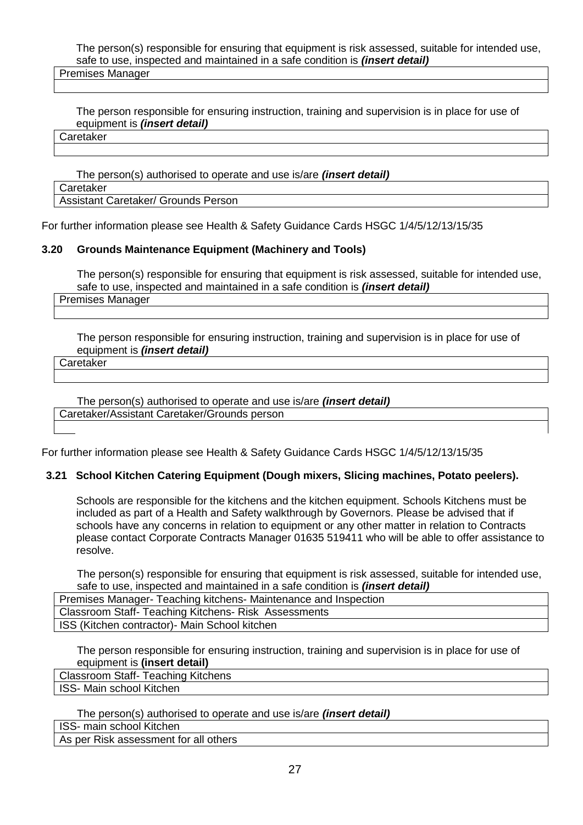The person(s) responsible for ensuring that equipment is risk assessed, suitable for intended use, safe to use, inspected and maintained in a safe condition is *(insert detail)*

Premises Manager

The person responsible for ensuring instruction, training and supervision is in place for use of equipment is *(insert detail)*

**Caretaker** 

The person(s) authorised to operate and use is/are *(insert detail)* Caretaker Assistant Caretaker/ Grounds Person

For further information please see Health & Safety Guidance Cards HSGC 1/4/5/12/13/15/35

#### **3.20 Grounds Maintenance Equipment (Machinery and Tools)**

The person(s) responsible for ensuring that equipment is risk assessed, suitable for intended use, safe to use, inspected and maintained in a safe condition is *(insert detail)*

Premises Manager

The person responsible for ensuring instruction, training and supervision is in place for use of equipment is *(insert detail)*

**Caretaker** 

The person(s) authorised to operate and use is/are *(insert detail)* Caretaker/Assistant Caretaker/Grounds person

For further information please see Health & Safety Guidance Cards HSGC 1/4/5/12/13/15/35

#### **3.21 School Kitchen Catering Equipment (Dough mixers, Slicing machines, Potato peelers).**

Schools are responsible for the kitchens and the kitchen equipment. Schools Kitchens must be included as part of a Health and Safety walkthrough by Governors. Please be advised that if schools have any concerns in relation to equipment or any other matter in relation to Contracts please contact Corporate Contracts Manager 01635 519411 who will be able to offer assistance to resolve.

The person(s) responsible for ensuring that equipment is risk assessed, suitable for intended use, safe to use, inspected and maintained in a safe condition is *(insert detail)*

Premises Manager- Teaching kitchens- Maintenance and Inspection Classroom Staff- Teaching Kitchens- Risk Assessments ISS (Kitchen contractor)- Main School kitchen

The person responsible for ensuring instruction, training and supervision is in place for use of equipment is **(insert detail)**

Classroom Staff- Teaching Kitchens ISS- Main school Kitchen

The person(s) authorised to operate and use is/are *(insert detail)*

ISS- main school Kitchen

As per Risk assessment for all others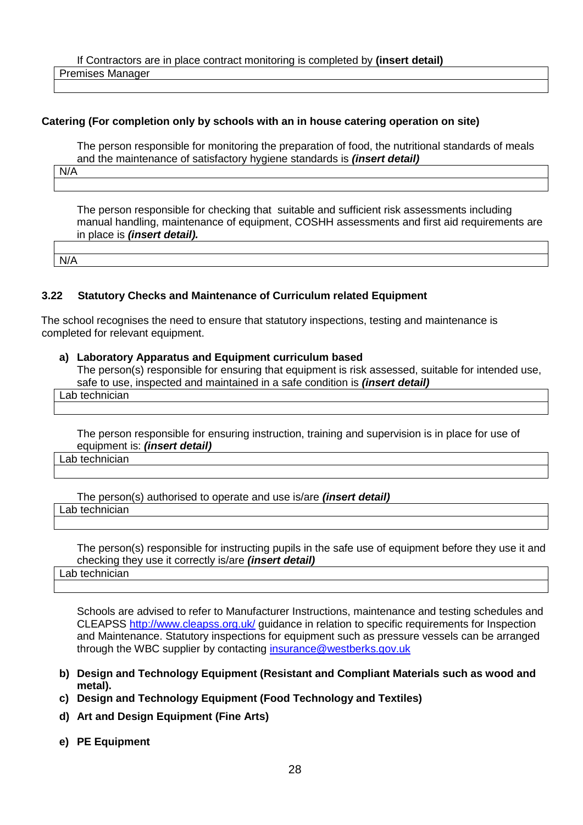If Contractors are in place contract monitoring is completed by **(insert detail)** Premises Manager

#### **Catering (For completion only by schools with an in house catering operation on site)**

The person responsible for monitoring the preparation of food, the nutritional standards of meals and the maintenance of satisfactory hygiene standards is *(insert detail)*

N/A

The person responsible for checking that suitable and sufficient risk assessments including manual handling, maintenance of equipment, COSHH assessments and first aid requirements are in place is *(insert detail).*

N/A

#### **3.22 Statutory Checks and Maintenance of Curriculum related Equipment**

The school recognises the need to ensure that statutory inspections, testing and maintenance is completed for relevant equipment.

#### **a) Laboratory Apparatus and Equipment curriculum based**

The person(s) responsible for ensuring that equipment is risk assessed, suitable for intended use, safe to use, inspected and maintained in a safe condition is *(insert detail)*

Lab technician

The person responsible for ensuring instruction, training and supervision is in place for use of equipment is: *(insert detail)*

Lab technician

The person(s) authorised to operate and use is/are *(insert detail)* Lab technician

The person(s) responsible for instructing pupils in the safe use of equipment before they use it and checking they use it correctly is/are *(insert detail)* 

Lab technician

Schools are advised to refer to Manufacturer Instructions, maintenance and testing schedules and CLEAPSS<http://www.cleapss.org.uk/> guidance in relation to specific requirements for Inspection and Maintenance. Statutory inspections for equipment such as pressure vessels can be arranged through the WBC supplier by contacting [insurance@westberks.gov.uk](mailto:insurance@westberks.gov.uk)

- **b) Design and Technology Equipment (Resistant and Compliant Materials such as wood and metal).**
- **c) Design and Technology Equipment (Food Technology and Textiles)**
- **d) Art and Design Equipment (Fine Arts)**
- **e) PE Equipment**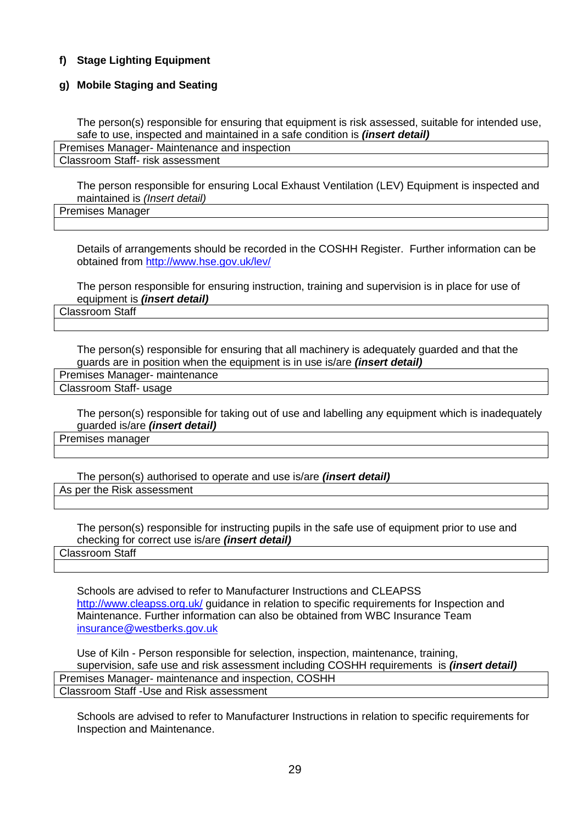## **f) Stage Lighting Equipment**

#### **g) Mobile Staging and Seating**

The person(s) responsible for ensuring that equipment is risk assessed, suitable for intended use, safe to use, inspected and maintained in a safe condition is *(insert detail)*

Premises Manager- Maintenance and inspection

Classroom Staff- risk assessment

The person responsible for ensuring Local Exhaust Ventilation (LEV) Equipment is inspected and maintained is *(Insert detail)* 

Premises Manager

Details of arrangements should be recorded in the COSHH Register. Further information can be obtained from<http://www.hse.gov.uk/lev/>

The person responsible for ensuring instruction, training and supervision is in place for use of equipment is *(insert detail)*

Classroom Staff

The person(s) responsible for ensuring that all machinery is adequately guarded and that the guards are in position when the equipment is in use is/are *(insert detail)*

Premises Manager- maintenance Classroom Staff- usage

The person(s) responsible for taking out of use and labelling any equipment which is inadequately guarded is/are *(insert detail)*

Premises manager

The person(s) authorised to operate and use is/are *(insert detail)* As per the Risk assessment

The person(s) responsible for instructing pupils in the safe use of equipment prior to use and checking for correct use is/are *(insert detail)*

Classroom Staff

Schools are advised to refer to Manufacturer Instructions and CLEAPSS <http://www.cleapss.org.uk/> guidance in relation to specific requirements for Inspection and Maintenance. Further information can also be obtained from WBC Insurance Team [insurance@westberks.gov.uk](mailto:insurance@westberks.gov.uk)

Use of Kiln - Person responsible for selection, inspection, maintenance, training, supervision, safe use and risk assessment including COSHH requirements is *(insert detail)*  Premises Manager- maintenance and inspection, COSHH Classroom Staff -Use and Risk assessment

Schools are advised to refer to Manufacturer Instructions in relation to specific requirements for Inspection and Maintenance.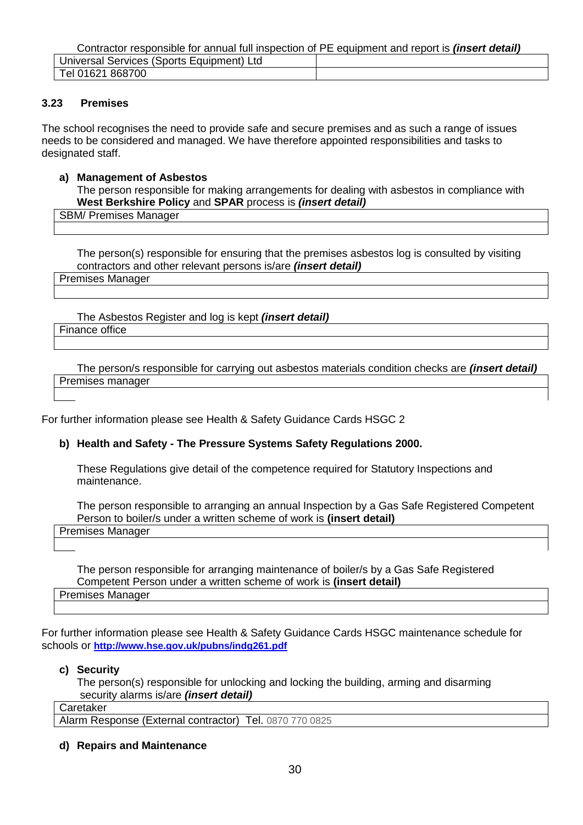Contractor responsible for annual full inspection of PE equipment and report is *(insert detail)*

| Ltd<br>Jniversal<br>Equipment)<br>Sports<br>Services |  |
|------------------------------------------------------|--|
| 868700<br><br>''16∠∵<br>el                           |  |

#### **3.23 Premises**

The school recognises the need to provide safe and secure premises and as such a range of issues needs to be considered and managed. We have therefore appointed responsibilities and tasks to designated staff.

#### **a) Management of Asbestos**

The person responsible for making arrangements for dealing with asbestos in compliance with **West Berkshire Policy** and **SPAR** process is *(insert detail)*

SBM/ Premises Manager

The person(s) responsible for ensuring that the premises asbestos log is consulted by visiting contractors and other relevant persons is/are *(insert detail)*

Premises Manager

The Asbestos Register and log is kept *(insert detail)* Finance office

The person/s responsible for carrying out asbestos materials condition checks are *(insert detail)* Premises manager

For further information please see Health & Safety Guidance Cards HSGC 2

#### **b) Health and Safety - The Pressure Systems Safety Regulations 2000.**

These Regulations give detail of the competence required for Statutory Inspections and maintenance.

The person responsible to arranging an annual Inspection by a Gas Safe Registered Competent Person to boiler/s under a written scheme of work is **(insert detail)**

Premises Manager

The person responsible for arranging maintenance of boiler/s by a Gas Safe Registered Competent Person under a written scheme of work is **(insert detail)** Premises Manager

For further information please see Health & Safety Guidance Cards HSGC maintenance schedule for schools or **<http://www.hse.gov.uk/pubns/indg261.pdf>**

#### **c) Security**

The person(s) responsible for unlocking and locking the building, arming and disarming security alarms is/are *(insert detail)*

Caretaker

Alarm Response (External contractor) Tel. 0870 770 0825

**d) Repairs and Maintenance**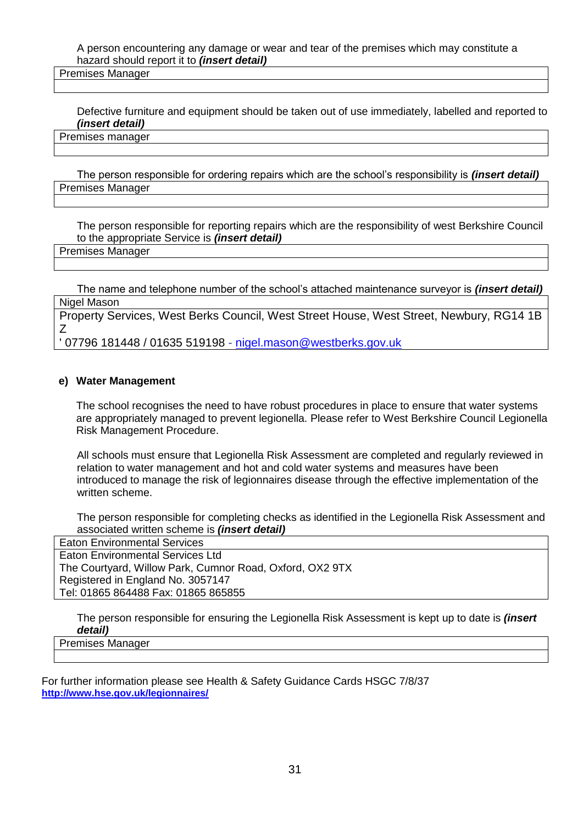A person encountering any damage or wear and tear of the premises which may constitute a hazard should report it to *(insert detail)*

Premises Manager

Defective furniture and equipment should be taken out of use immediately, labelled and reported to *(insert detail)*

Premises manager

The person responsible for ordering repairs which are the school's responsibility is *(insert detail)* Premises Manager

The person responsible for reporting repairs which are the responsibility of west Berkshire Council to the appropriate Service is *(insert detail)*

Premises Manager

The name and telephone number of the school's attached maintenance surveyor is *(insert detail)* Nigel Mason

Property Services, West Berks Council, West Street House, West Street, Newbury, RG14 1B Z

' 07796 181448 / 01635 519198 - <u>[nigel.mason@westberks.gov.uk](mailto:nigel.mason@westberks.gov.uk)</u>

#### **e) Water Management**

The school recognises the need to have robust procedures in place to ensure that water systems are appropriately managed to prevent legionella. Please refer to West Berkshire Council Legionella Risk Management Procedure.

All schools must ensure that Legionella Risk Assessment are completed and regularly reviewed in relation to water management and hot and cold water systems and measures have been introduced to manage the risk of legionnaires disease through the effective implementation of the written scheme.

The person responsible for completing checks as identified in the Legionella Risk Assessment and associated written scheme is *(insert detail)*

Eaton Environmental Services Eaton Environmental Services Ltd The Courtyard, Willow Park, Cumnor Road, Oxford, OX2 9TX Registered in England No. 3057147 Tel: 01865 864488 Fax: 01865 865855

The person responsible for ensuring the Legionella Risk Assessment is kept up to date is *(insert detail)* 

Premises Manager

For further information please see Health & Safety Guidance Cards HSGC 7/8/37 **<http://www.hse.gov.uk/legionnaires/>**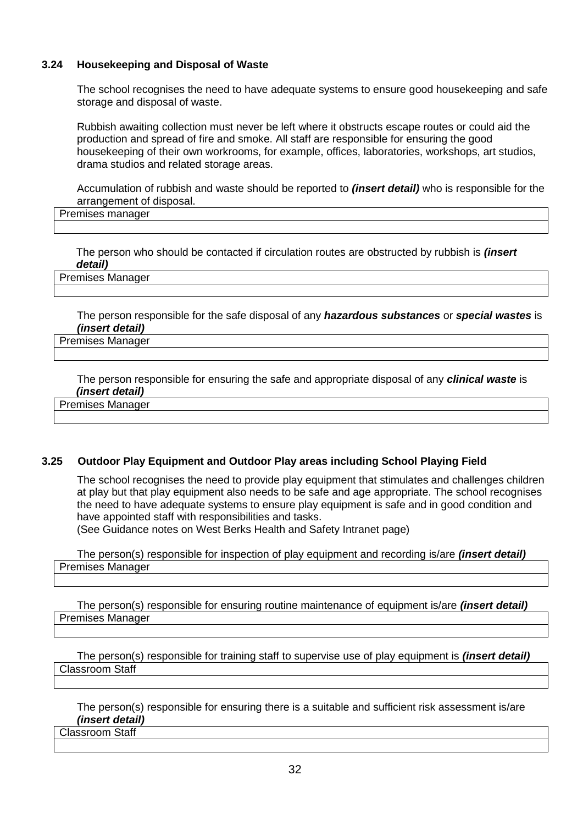## **3.24 Housekeeping and Disposal of Waste**

The school recognises the need to have adequate systems to ensure good housekeeping and safe storage and disposal of waste.

Rubbish awaiting collection must never be left where it obstructs escape routes or could aid the production and spread of fire and smoke. All staff are responsible for ensuring the good housekeeping of their own workrooms, for example, offices, laboratories, workshops, art studios, drama studios and related storage areas.

Accumulation of rubbish and waste should be reported to *(insert detail)* who is responsible for the arrangement of disposal.

Premises manager

The person who should be contacted if circulation routes are obstructed by rubbish is *(insert detail)*

Premises Manager

The person responsible for the safe disposal of any *hazardous substances* or *special wastes* is *(insert detail)*

## Premises Manager

The person responsible for ensuring the safe and appropriate disposal of any *clinical waste* is *(insert detail)*

Premises Manager

#### **3.25 Outdoor Play Equipment and Outdoor Play areas including School Playing Field**

The school recognises the need to provide play equipment that stimulates and challenges children at play but that play equipment also needs to be safe and age appropriate. The school recognises the need to have adequate systems to ensure play equipment is safe and in good condition and have appointed staff with responsibilities and tasks.

(See Guidance notes on West Berks Health and Safety Intranet page)

The person(s) responsible for inspection of play equipment and recording is/are *(insert detail)* Premises Manager

The person(s) responsible for ensuring routine maintenance of equipment is/are *(insert detail)* Premises Manager

The person(s) responsible for training staff to supervise use of play equipment is *(insert detail)* Classroom Staff

The person(s) responsible for ensuring there is a suitable and sufficient risk assessment is/are *(insert detail)*

Classroom Staff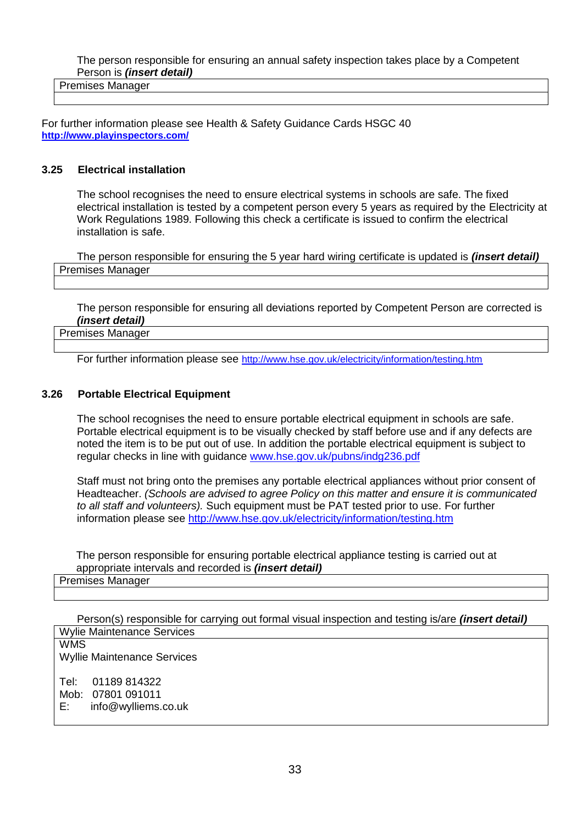The person responsible for ensuring an annual safety inspection takes place by a Competent Person is *(insert detail)*

Premises Manager

For further information please see Health & Safety Guidance Cards HSGC 40 **<http://www.playinspectors.com/>**

#### **3.25 Electrical installation**

The school recognises the need to ensure electrical systems in schools are safe. The fixed electrical installation is tested by a competent person every 5 years as required by the Electricity at Work Regulations 1989. Following this check a certificate is issued to confirm the electrical installation is safe.

The person responsible for ensuring the 5 year hard wiring certificate is updated is *(insert detail)* Premises Manager

The person responsible for ensuring all deviations reported by Competent Person are corrected is *(insert detail)*

Premises Manager

For further information please see <http://www.hse.gov.uk/electricity/information/testing.htm>

#### **3.26 Portable Electrical Equipment**

The school recognises the need to ensure portable electrical equipment in schools are safe. Portable electrical equipment is to be visually checked by staff before use and if any defects are noted the item is to be put out of use. In addition the portable electrical equipment is subject to regular checks in line with guidance [www.hse.gov.uk/pubns/indg236.pdf](http://www.hse.gov.uk/pubns/indg236.pdf)

Staff must not bring onto the premises any portable electrical appliances without prior consent of Headteacher. *(Schools are advised to agree Policy on this matter and ensure it is communicated to all staff and volunteers).* Such equipment must be PAT tested prior to use. For further information please see<http://www.hse.gov.uk/electricity/information/testing.htm>

The person responsible for ensuring portable electrical appliance testing is carried out at appropriate intervals and recorded is *(insert detail)*

#### Premises Manager

Person(s) responsible for carrying out formal visual inspection and testing is/are *(insert detail)* Wylie Maintenance Services

WMS Wyllie Maintenance Services Tel: 01189 814322 Mob: 07801 091011<br>E: info@wvlliems. [info@wylliems.co.uk](mailto:info@wylliems.co.uk)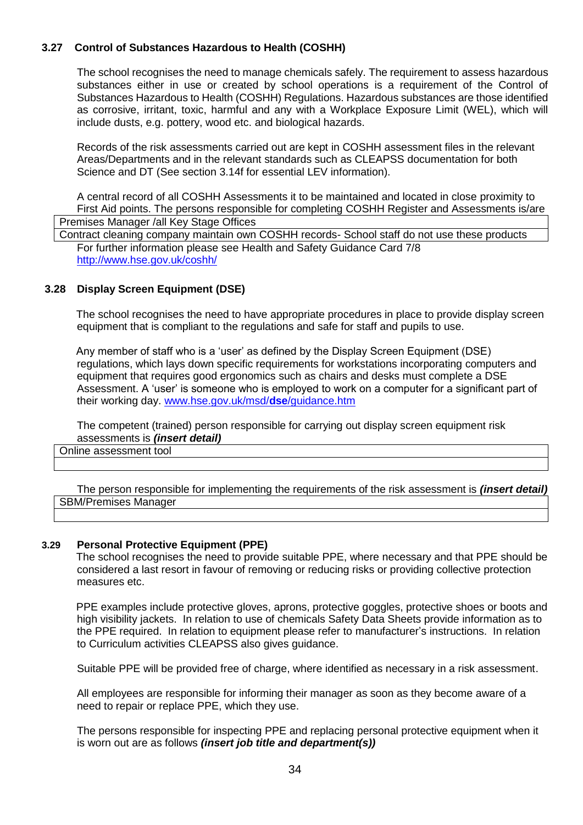## **3.27 Control of Substances Hazardous to Health (COSHH)**

The school recognises the need to manage chemicals safely. The requirement to assess hazardous substances either in use or created by school operations is a requirement of the Control of Substances Hazardous to Health (COSHH) Regulations. Hazardous substances are those identified as corrosive, irritant, toxic, harmful and any with a Workplace Exposure Limit (WEL), which will include dusts, e.g. pottery, wood etc. and biological hazards.

Records of the risk assessments carried out are kept in COSHH assessment files in the relevant Areas/Departments and in the relevant standards such as CLEAPSS documentation for both Science and DT (See section 3.14f for essential LEV information).

A central record of all COSHH Assessments it to be maintained and located in close proximity to First Aid points. The persons responsible for completing COSHH Register and Assessments is/are Premises Manager /all Key Stage Offices

Contract cleaning company maintain own COSHH records- School staff do not use these products For further information please see Health and Safety Guidance Card 7/8 <http://www.hse.gov.uk/coshh/>

#### **3.28 Display Screen Equipment (DSE)**

The school recognises the need to have appropriate procedures in place to provide display screen equipment that is compliant to the regulations and safe for staff and pupils to use.

Any member of staff who is a 'user' as defined by the Display Screen Equipment (DSE) regulations, which lays down specific requirements for workstations incorporating computers and equipment that requires good ergonomics such as chairs and desks must complete a DSE Assessment. A 'user' is someone who is employed to work on a computer for a significant part of their working day. [www.hse.gov.uk/msd/](http://www.hse.gov.uk/msd/dse/guidance.htm)**dse**/guidance.htm

The competent (trained) person responsible for carrying out display screen equipment risk assessments is *(insert detail)*

Online assessment tool

The person responsible for implementing the requirements of the risk assessment is *(insert detail)* SBM/Premises Manager

#### **3.29 Personal Protective Equipment (PPE)**

The school recognises the need to provide suitable PPE, where necessary and that PPE should be considered a last resort in favour of removing or reducing risks or providing collective protection measures etc.

PPE examples include protective gloves, aprons, protective goggles, protective shoes or boots and high visibility jackets. In relation to use of chemicals Safety Data Sheets provide information as to the PPE required. In relation to equipment please refer to manufacturer's instructions. In relation to Curriculum activities CLEAPSS also gives guidance.

Suitable PPE will be provided free of charge, where identified as necessary in a risk assessment.

All employees are responsible for informing their manager as soon as they become aware of a need to repair or replace PPE, which they use.

The persons responsible for inspecting PPE and replacing personal protective equipment when it is worn out are as follows *(insert job title and department(s))*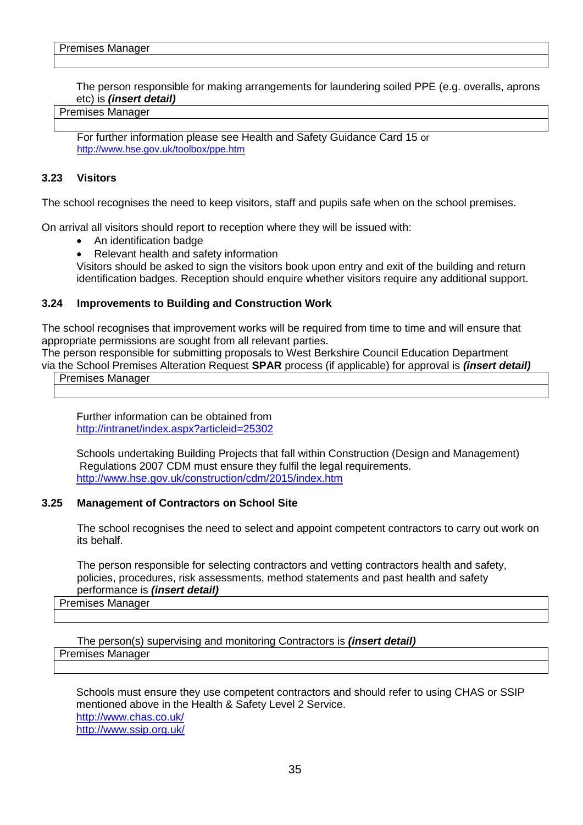The person responsible for making arrangements for laundering soiled PPE (e.g. overalls, aprons etc) is *(insert detail)* 

#### Premises Manager

For further information please see Health and Safety Guidance Card 15 or <http://www.hse.gov.uk/toolbox/ppe.htm>

#### **3.23 Visitors**

The school recognises the need to keep visitors, staff and pupils safe when on the school premises.

On arrival all visitors should report to reception where they will be issued with:

- An identification badge
- Relevant health and safety information

Visitors should be asked to sign the visitors book upon entry and exit of the building and return identification badges. Reception should enquire whether visitors require any additional support.

#### **3.24 Improvements to Building and Construction Work**

The school recognises that improvement works will be required from time to time and will ensure that appropriate permissions are sought from all relevant parties.

The person responsible for submitting proposals to West Berkshire Council Education Department via the School Premises Alteration Request **SPAR** process (if applicable) for approval is *(insert detail)*

Premises Manager

Further information can be obtained from <http://intranet/index.aspx?articleid=25302>

Schools undertaking Building Projects that fall within Construction (Design and Management) Regulations 2007 CDM must ensure they fulfil the legal requirements. <http://www.hse.gov.uk/construction/cdm/2015/index.htm>

#### **3.25 Management of Contractors on School Site**

The school recognises the need to select and appoint competent contractors to carry out work on its behalf.

The person responsible for selecting contractors and vetting contractors health and safety, policies, procedures, risk assessments, method statements and past health and safety performance is *(insert detail)*

#### Premises Manager

The person(s) supervising and monitoring Contractors is *(insert detail)* Premises Manager

Schools must ensure they use competent contractors and should refer to using CHAS or SSIP mentioned above in the Health & Safety Level 2 Service. <http://www.chas.co.uk/> <http://www.ssip.org.uk/>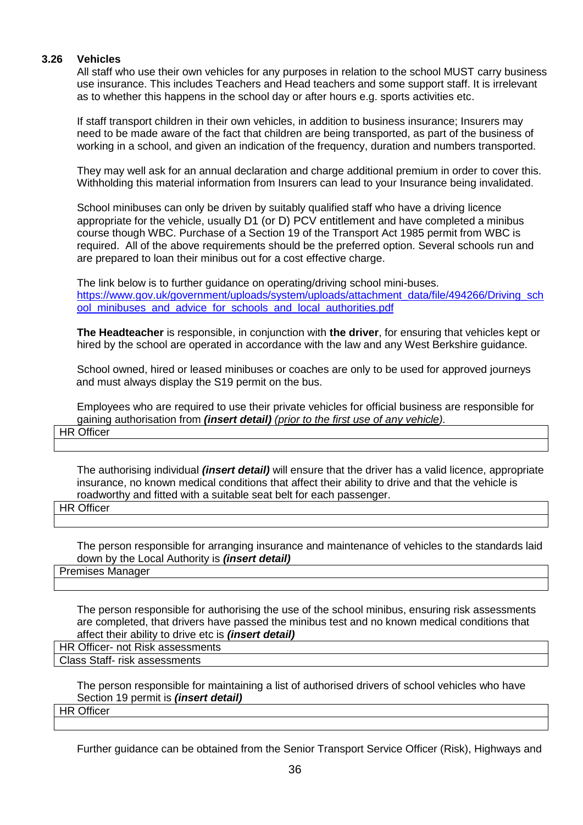#### **3.26 Vehicles**

All staff who use their own vehicles for any purposes in relation to the school MUST carry business use insurance. This includes Teachers and Head teachers and some support staff. It is irrelevant as to whether this happens in the school day or after hours e.g. sports activities etc.

If staff transport children in their own vehicles, in addition to business insurance; Insurers may need to be made aware of the fact that children are being transported, as part of the business of working in a school, and given an indication of the frequency, duration and numbers transported.

They may well ask for an annual declaration and charge additional premium in order to cover this. Withholding this material information from Insurers can lead to your Insurance being invalidated.

School minibuses can only be driven by suitably qualified staff who have a driving licence appropriate for the vehicle, usually D1 (or D) PCV entitlement and have completed a minibus course though WBC. Purchase of a Section 19 of the Transport Act 1985 permit from WBC is required. All of the above requirements should be the preferred option. Several schools run and are prepared to loan their minibus out for a cost effective charge.

The link below is to further guidance on operating/driving school mini-buses. [https://www.gov.uk/government/uploads/system/uploads/attachment\\_data/file/494266/Driving\\_sch](https://www.gov.uk/government/uploads/system/uploads/attachment_data/file/494266/Driving_school_minibuses_and_advice_for_schools_and_local_authorities.pdf) [ool\\_minibuses\\_and\\_advice\\_for\\_schools\\_and\\_local\\_authorities.pdf](https://www.gov.uk/government/uploads/system/uploads/attachment_data/file/494266/Driving_school_minibuses_and_advice_for_schools_and_local_authorities.pdf)

**The Headteacher** is responsible, in conjunction with **the driver**, for ensuring that vehicles kept or hired by the school are operated in accordance with the law and any West Berkshire guidance.

School owned, hired or leased minibuses or coaches are only to be used for approved journeys and must always display the S19 permit on the bus.

Employees who are required to use their private vehicles for official business are responsible for gaining authorisation from *(insert detail) (prior to the first use of any vehicle).*

HR Officer

The authorising individual *(insert detail)* will ensure that the driver has a valid licence, appropriate insurance, no known medical conditions that affect their ability to drive and that the vehicle is roadworthy and fitted with a suitable seat belt for each passenger.

HR Officer

The person responsible for arranging insurance and maintenance of vehicles to the standards laid down by the Local Authority is *(insert detail)*

Premises Manager

The person responsible for authorising the use of the school minibus, ensuring risk assessments are completed, that drivers have passed the minibus test and no known medical conditions that affect their ability to drive etc is *(insert detail)*

HR Officer- not Risk assessments Class Staff- risk assessments

> The person responsible for maintaining a list of authorised drivers of school vehicles who have Section 19 permit is *(insert detail)*

HR Officer

Further guidance can be obtained from the Senior Transport Service Officer (Risk), Highways and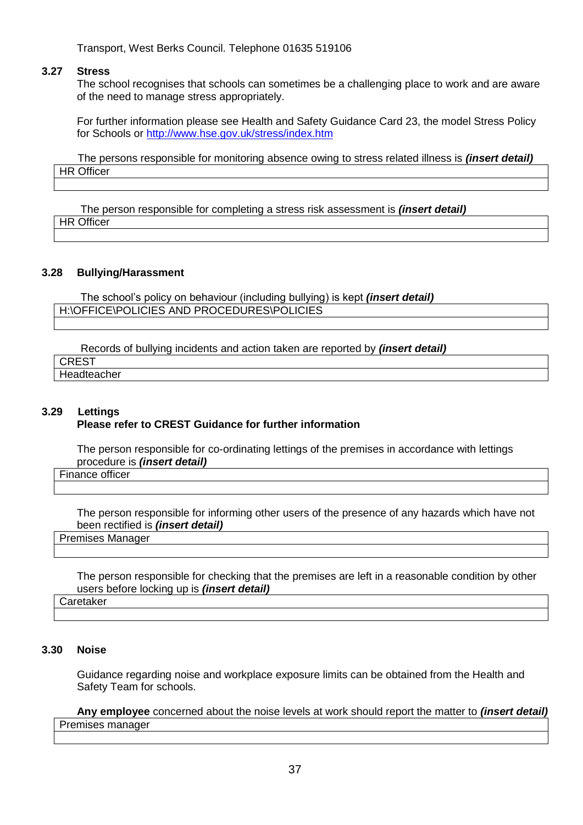Transport, West Berks Council. Telephone 01635 519106

#### **3.27 Stress**

The school recognises that schools can sometimes be a challenging place to work and are aware of the need to manage stress appropriately.

For further information please see Health and Safety Guidance Card 23, the model Stress Policy for Schools or<http://www.hse.gov.uk/stress/index.htm>

The persons responsible for monitoring absence owing to stress related illness is *(insert detail)* **HR Officer** 

 The person responsible for completing a stress risk assessment is *(insert detail)* HR Officer

#### **3.28 Bullying/Harassment**

The school's policy on behaviour (including bullying) is kept *(insert detail)* H:\OFFICE\POLICIES AND PROCEDURES\POLICIES

Records of bullying incidents and action taken are reported by *(insert detail)* 

**CREST** Headteacher

## **3.29 Lettings**

## **Please refer to CREST Guidance for further information**

The person responsible for co-ordinating lettings of the premises in accordance with lettings procedure is *(insert detail)* 

Finance officer

The person responsible for informing other users of the presence of any hazards which have not been rectified is *(insert detail)*

Premises Manager

The person responsible for checking that the premises are left in a reasonable condition by other users before locking up is *(insert detail)*

#### **Caretaker**

#### **3.30 Noise**

Guidance regarding noise and workplace exposure limits can be obtained from the Health and Safety Team for schools.

**Any employee** concerned about the noise levels at work should report the matter to *(insert detail)* Premises manager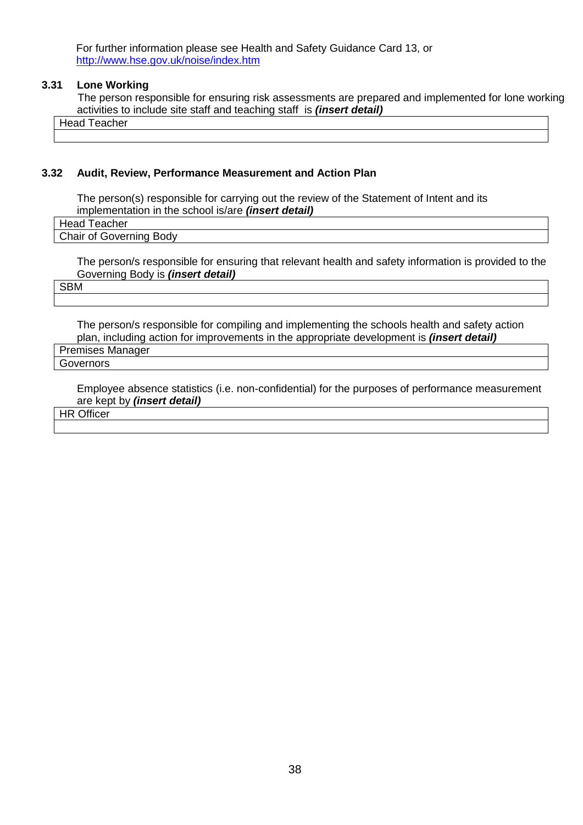For further information please see Health and Safety Guidance Card 13, or <http://www.hse.gov.uk/noise/index.htm>

#### **3.31 Lone Working**

 The person responsible for ensuring risk assessments are prepared and implemented for lone working activities to include site staff and teaching staff is *(insert detail)*

Head Teacher

#### **3.32 Audit, Review, Performance Measurement and Action Plan**

The person(s) responsible for carrying out the review of the Statement of Intent and its implementation in the school is/are *(insert detail)*

Head Teacher

Chair of Governing Body

The person/s responsible for ensuring that relevant health and safety information is provided to the Governing Body is *(insert detail)*

SBM

The person/s responsible for compiling and implementing the schools health and safety action plan, including action for improvements in the appropriate development is *(insert detail)*

Premises Manager Governors

> Employee absence statistics (i.e. non-confidential) for the purposes of performance measurement are kept by *(insert detail)*

**HR Officer**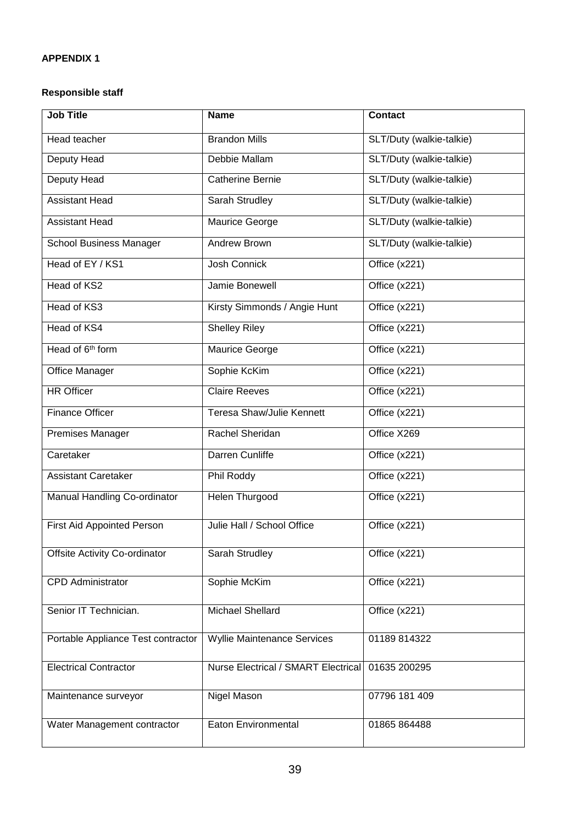## **Responsible staff**

| <b>Job Title</b>                     | <b>Name</b>                         | <b>Contact</b>           |
|--------------------------------------|-------------------------------------|--------------------------|
| Head teacher                         | <b>Brandon Mills</b>                | SLT/Duty (walkie-talkie) |
| <b>Deputy Head</b>                   | Debbie Mallam                       | SLT/Duty (walkie-talkie) |
| <b>Deputy Head</b>                   | <b>Catherine Bernie</b>             | SLT/Duty (walkie-talkie) |
| <b>Assistant Head</b>                | Sarah Strudley                      | SLT/Duty (walkie-talkie) |
| <b>Assistant Head</b>                | Maurice George                      | SLT/Duty (walkie-talkie) |
| <b>School Business Manager</b>       | Andrew Brown                        | SLT/Duty (walkie-talkie) |
| Head of EY / KS1                     | Josh Connick                        | Office (x221)            |
| Head of KS2                          | Jamie Bonewell                      | Office (x221)            |
| Head of KS3                          | Kirsty Simmonds / Angie Hunt        | Office (x221)            |
| Head of KS4                          | <b>Shelley Riley</b>                | Office (x221)            |
| Head of 6 <sup>th</sup> form         | Maurice George                      | Office (x221)            |
| Office Manager                       | Sophie KcKim                        | Office (x221)            |
| <b>HR Officer</b>                    | <b>Claire Reeves</b>                | Office (x221)            |
| <b>Finance Officer</b>               | Teresa Shaw/Julie Kennett           | Office (x221)            |
| Premises Manager                     | Rachel Sheridan                     | Office X269              |
| Caretaker                            | Darren Cunliffe                     | Office (x221)            |
| <b>Assistant Caretaker</b>           | Phil Roddy                          | Office (x221)            |
| Manual Handling Co-ordinator         | <b>Helen Thurgood</b>               | Office (x221)            |
| <b>First Aid Appointed Person</b>    | Julie Hall / School Office          | Office (x221)            |
| <b>Offsite Activity Co-ordinator</b> | Sarah Strudley                      | Office (x221)            |
| <b>CPD</b> Administrator             | Sophie McKim                        | Office (x221)            |
| Senior IT Technician.                | <b>Michael Shellard</b>             | Office (x221)            |
| Portable Appliance Test contractor   | <b>Wyllie Maintenance Services</b>  | 01189 814322             |
| <b>Electrical Contractor</b>         | Nurse Electrical / SMART Electrical | 01635 200295             |
| Maintenance surveyor                 | Nigel Mason                         | 07796 181 409            |
| Water Management contractor          | <b>Eaton Environmental</b>          | 01865 864488             |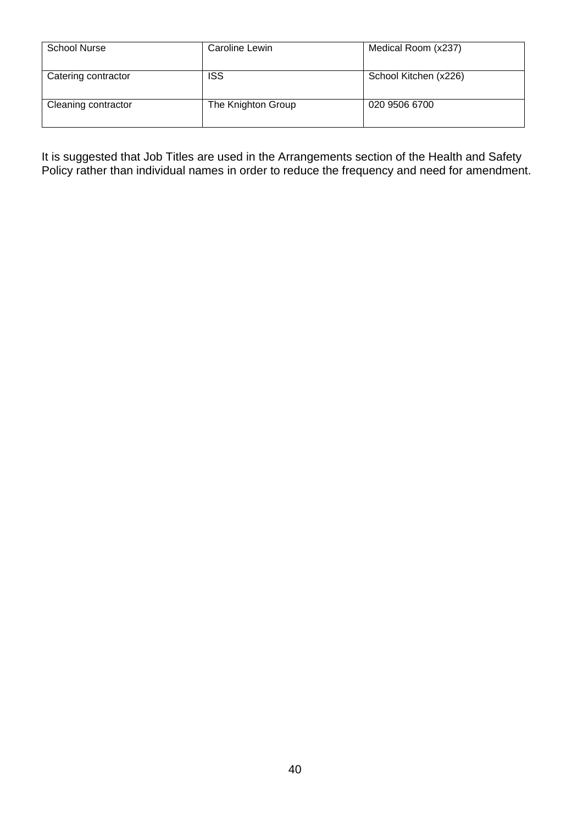| <b>School Nurse</b> | Caroline Lewin     | Medical Room (x237)   |
|---------------------|--------------------|-----------------------|
| Catering contractor | <b>ISS</b>         | School Kitchen (x226) |
| Cleaning contractor | The Knighton Group | 020 9506 6700         |

It is suggested that Job Titles are used in the Arrangements section of the Health and Safety Policy rather than individual names in order to reduce the frequency and need for amendment.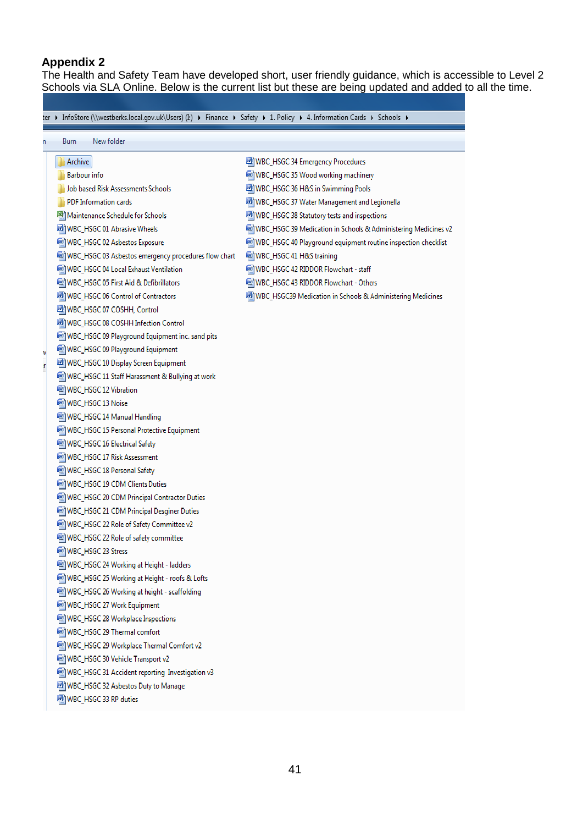## **Appendix 2**

The Health and Safety Team have developed short, user friendly guidance, which is accessible to Level 2 Schools via SLA Online. Below is the current list but these are being updated and added to all the time.

|   |                                |                                                      | ter ▶ InfoStore (\\westberks.local.gov.uk\Users) (I:) ▶ Finance ▶ Safety ▶ 1. Policy ▶ 4. Information Cards ▶ Schools ▶ |
|---|--------------------------------|------------------------------------------------------|-------------------------------------------------------------------------------------------------------------------------|
| n | Burn                           | New folder                                           |                                                                                                                         |
|   |                                |                                                      |                                                                                                                         |
|   | Archive                        |                                                      | WBC_HSGC 34 Emergency Procedures                                                                                        |
|   | <b>Barbour</b> info            |                                                      | WBC_HSGC 35 Wood working machinery                                                                                      |
|   |                                | Job based Risk Assessments Schools                   | 國 WBC_HSGC 36 H&S in Swimming Pools                                                                                     |
|   | <b>PDF Information cards</b>   |                                                      | WBC_HSGC 37 Water Management and Legionella                                                                             |
|   |                                | 嚠 Maintenance Schedule for Schools                   | WBC_HSGC 38 Statutory tests and inspections                                                                             |
|   |                                | nd WBC_HSGC 01 Abrasive Wheels                       | WBC_HSGC 39 Medication in Schools & Administering Medicines v2                                                          |
|   |                                | <sup>[2]</sup> WBC_HSGC 02 Asbestos Exposure         | WBC_HSGC 40 Playground equipment routine inspection checklist                                                           |
|   |                                | WBC_HSGC 03 Asbestos emergency procedures flow chart | 啊) WBC_HSGC 41 H&S training                                                                                             |
|   |                                | WBC_HSGC 04 Local Exhaust Ventilation                | a WBC_HSGC 42 RIDDOR Flowchart - staff                                                                                  |
|   |                                | [2] WBC_HSGC 05 First Aid & Defibrillators           | WBC_HSGC 43 RIDDOR Flowchart - Others                                                                                   |
|   |                                | all WBC_HSGC 06 Control of Contractors               | [뻴] WBC_HSGC39 Medication in Schools & Administering Medicines                                                          |
|   |                                | um WBC_HSGC 07 COSHH, Control                        |                                                                                                                         |
|   |                                | WBC_HSGC 08 COSHH Infection Control                  |                                                                                                                         |
|   |                                | WBC_HSGC 09 Playground Equipment inc. sand pits      |                                                                                                                         |
| N |                                | WBC_HSGC 09 Playground Equipment                     |                                                                                                                         |
| T |                                | WBC_HSGC 10 Display Screen Equipment                 |                                                                                                                         |
|   |                                | WBC_HSGC 11 Staff Harassment & Bullying at work      |                                                                                                                         |
|   | e WBC_HSGC 12 Vibration        |                                                      |                                                                                                                         |
|   | 啊WBC_HSGC 13 Noise             |                                                      |                                                                                                                         |
|   |                                | a WBC_HSGC 14 Manual Handling                        |                                                                                                                         |
|   |                                | WBC_HSGC 15 Personal Protective Equipment            |                                                                                                                         |
|   |                                | 啊) WBC_HSGC 16 Electrical Safety                     |                                                                                                                         |
|   |                                | WBC_HSGC 17 Risk Assessment                          |                                                                                                                         |
|   | 啊) WBC_HSGC 18 Personal Safety |                                                      |                                                                                                                         |
|   |                                | WBC_HSGC 19 CDM Clients Duties                       |                                                                                                                         |
|   |                                | WBC_HSGC 20 CDM Principal Contractor Duties          |                                                                                                                         |
|   |                                | WBC_HSGC 21 CDM Principal Desginer Duties            |                                                                                                                         |
|   |                                | WBC_HSGC 22 Role of Safety Committee v2              |                                                                                                                         |
|   |                                | WBC_HSGC 22 Role of safety committee                 |                                                                                                                         |
|   | WBC_HSGC 23 Stress             |                                                      |                                                                                                                         |
|   |                                | WBC_HSGC 24 Working at Height - ladders              |                                                                                                                         |
|   |                                | WBC_HSGC 25 Working at Height - roofs & Lofts        |                                                                                                                         |
|   |                                | WBC_HSGC 26 Working at height - scaffolding          |                                                                                                                         |
|   |                                | <sup>[22]</sup> WBC_HSGC 27 Work Equipment           |                                                                                                                         |
|   |                                | WBC_HSGC 28 Workplace Inspections                    |                                                                                                                         |
|   |                                | <sup>[22]</sup> WBC_HSGC 29 Thermal comfort          |                                                                                                                         |
|   |                                | WBC_HSGC 29 Workplace Thermal Comfort v2             |                                                                                                                         |
|   |                                | WBC_HSGC 30 Vehicle Transport v2                     |                                                                                                                         |
|   |                                | WBC_HSGC 31 Accident reporting Investigation v3      |                                                                                                                         |
|   |                                | WBC_HSGC 32 Asbestos Duty to Manage                  |                                                                                                                         |
|   | WBC_HSGC 33 RP duties          |                                                      |                                                                                                                         |